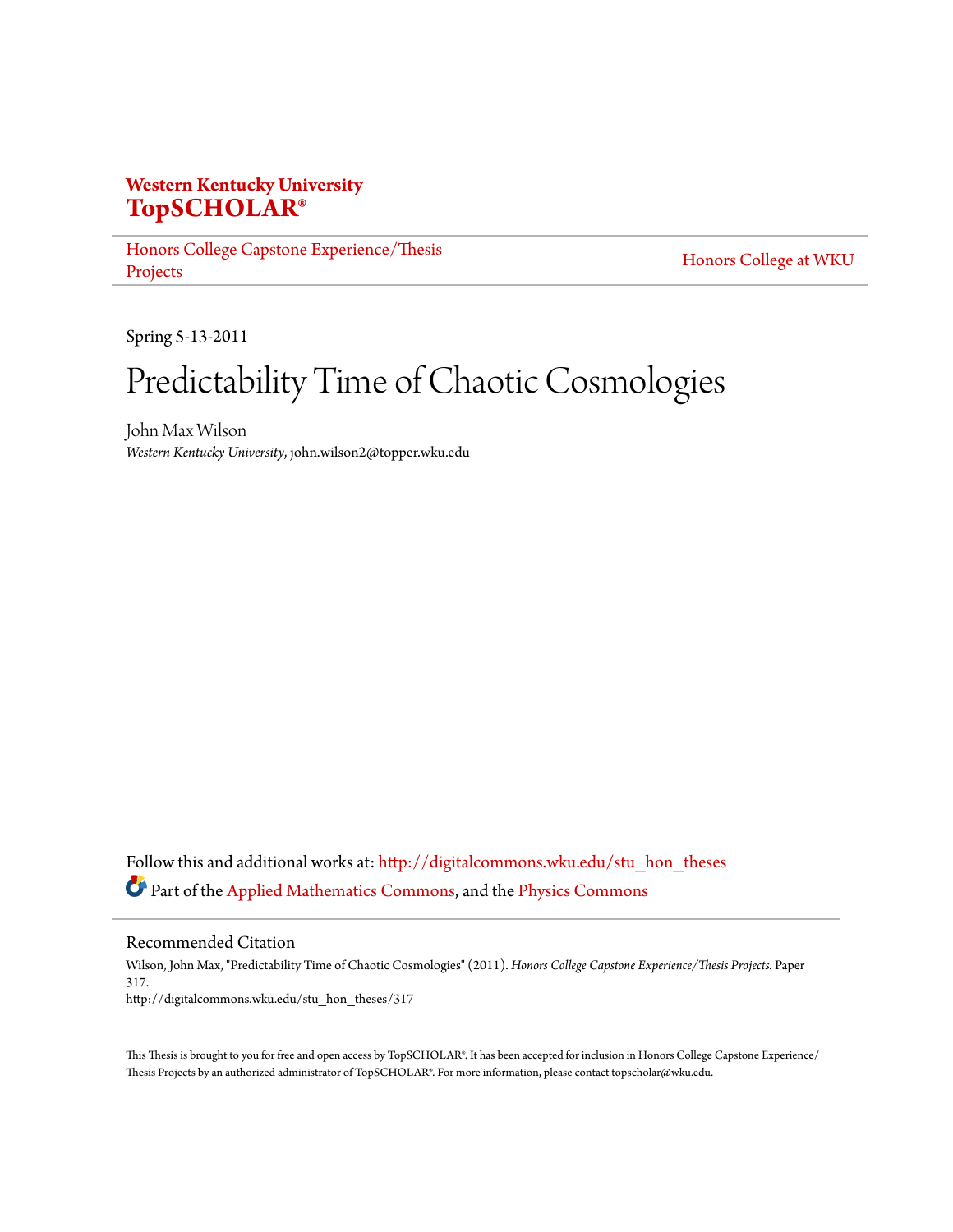## **Western Kentucky University [TopSCHOLAR®](http://digitalcommons.wku.edu?utm_source=digitalcommons.wku.edu%2Fstu_hon_theses%2F317&utm_medium=PDF&utm_campaign=PDFCoverPages)**

[Honors College Capstone Experience/Thesis](http://digitalcommons.wku.edu/stu_hon_theses?utm_source=digitalcommons.wku.edu%2Fstu_hon_theses%2F317&utm_medium=PDF&utm_campaign=PDFCoverPages) [Projects](http://digitalcommons.wku.edu/stu_hon_theses?utm_source=digitalcommons.wku.edu%2Fstu_hon_theses%2F317&utm_medium=PDF&utm_campaign=PDFCoverPages)

[Honors College at WKU](http://digitalcommons.wku.edu/honors_prog?utm_source=digitalcommons.wku.edu%2Fstu_hon_theses%2F317&utm_medium=PDF&utm_campaign=PDFCoverPages)

Spring 5-13-2011

# Predictability Time of Chaotic Cosmologies

John Max Wilson *Western Kentucky University*, john.wilson2@topper.wku.edu

Follow this and additional works at: [http://digitalcommons.wku.edu/stu\\_hon\\_theses](http://digitalcommons.wku.edu/stu_hon_theses?utm_source=digitalcommons.wku.edu%2Fstu_hon_theses%2F317&utm_medium=PDF&utm_campaign=PDFCoverPages) Part of the [Applied Mathematics Commons](http://network.bepress.com/hgg/discipline/115?utm_source=digitalcommons.wku.edu%2Fstu_hon_theses%2F317&utm_medium=PDF&utm_campaign=PDFCoverPages), and the [Physics Commons](http://network.bepress.com/hgg/discipline/193?utm_source=digitalcommons.wku.edu%2Fstu_hon_theses%2F317&utm_medium=PDF&utm_campaign=PDFCoverPages)

Recommended Citation

Wilson, John Max, "Predictability Time of Chaotic Cosmologies" (2011). *Honors College Capstone Experience/Thesis Projects.* Paper 317. http://digitalcommons.wku.edu/stu\_hon\_theses/317

This Thesis is brought to you for free and open access by TopSCHOLAR®. It has been accepted for inclusion in Honors College Capstone Experience/ Thesis Projects by an authorized administrator of TopSCHOLAR®. For more information, please contact topscholar@wku.edu.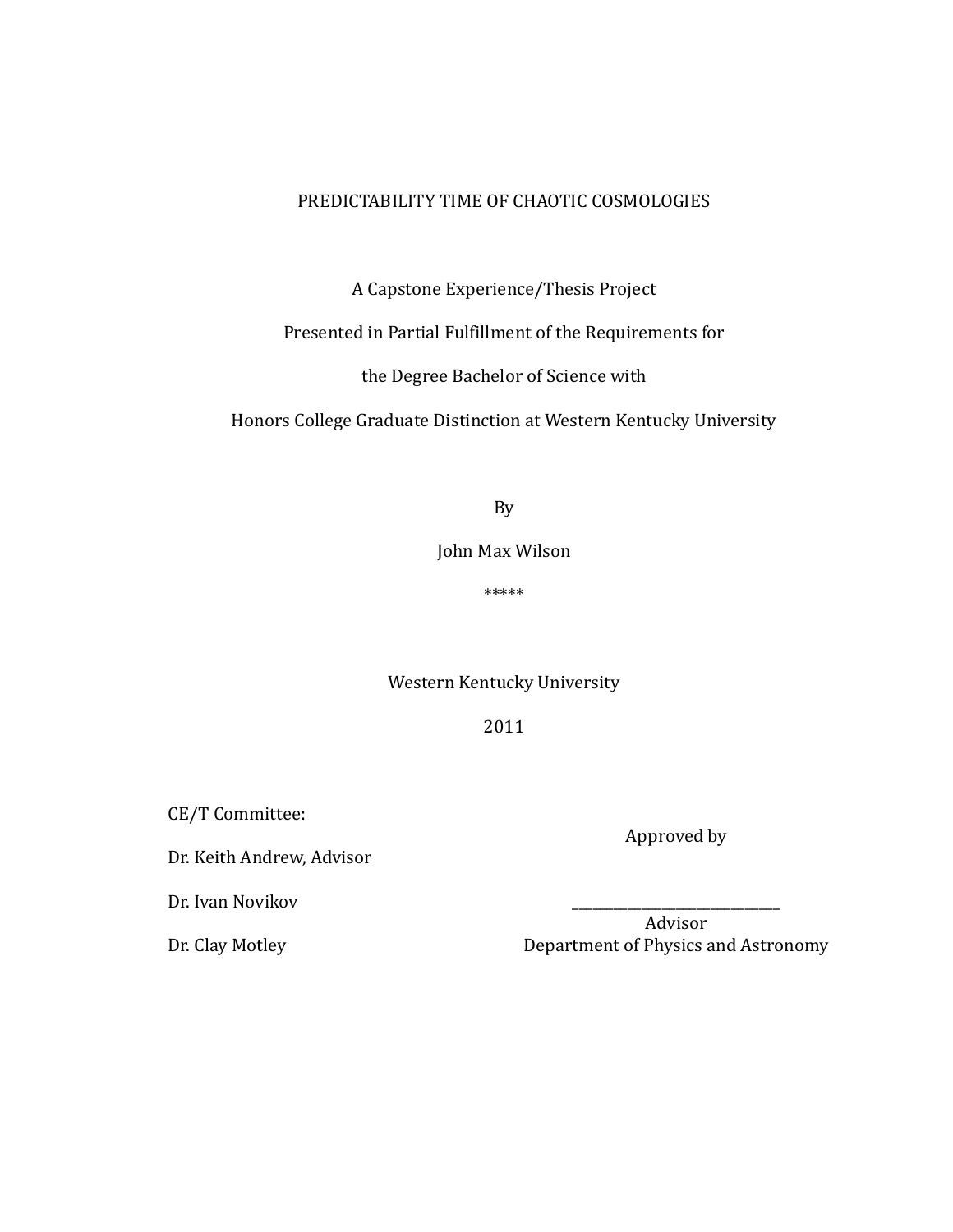### PREDICTABILITY TIME OF CHAOTIC COSMOLOGIES

A Capstone Experience/Thesis Project

## Presented in Partial Fulfillment of the Requirements for

the Degree Bachelor of Science with

Honors College Graduate Distinction at Western Kentucky University

By

John Max Wilson

\*\*\*\*\*

Western Kentucky University

2011

CE/T Committee:

Dr. Keith Andrew, Advisor

Dr. Ivan Novikov

Dr. Clay Motley

Advisor Department of Physics and Astronomy

\_\_\_\_\_\_\_\_\_\_\_\_\_\_\_\_\_\_\_\_\_\_\_\_\_\_\_\_\_\_

Approved by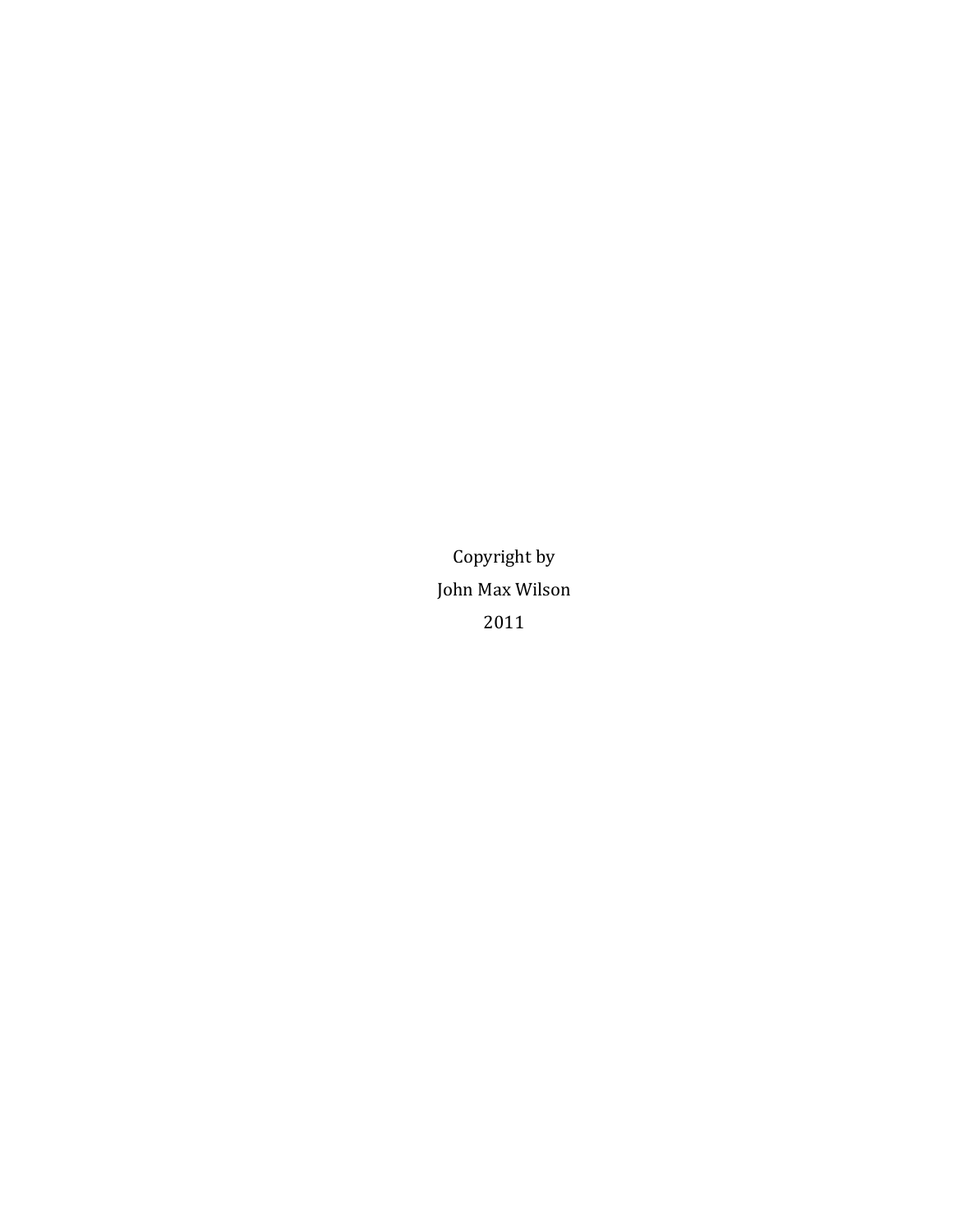Copyright by John Max Wilson 2011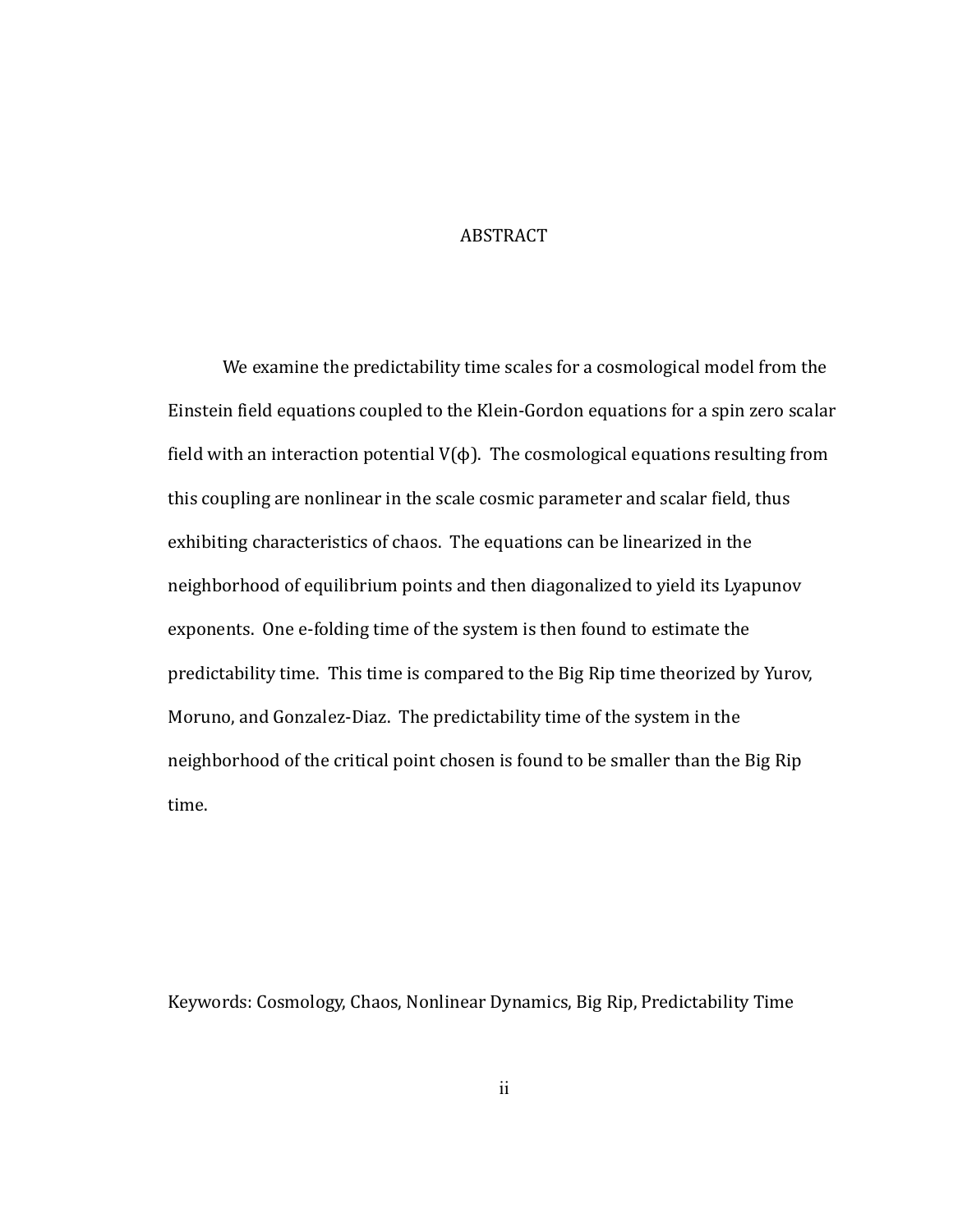#### ABSTRACT

We examine the predictability time scales for a cosmological model from the Einstein field equations coupled to the Klein-Gordon equations for a spin zero scalar field with an interaction potential  $V(\phi)$ . The cosmological equations resulting from this coupling are nonlinear in the scale cosmic parameter and scalar field, thus exhibiting characteristics of chaos. The equations can be linearized in the neighborhood of equilibrium points and then diagonalized to yield its Lyapunov exponents. One e-folding time of the system is then found to estimate the predictability time. This time is compared to the Big Rip time theorized by Yurov, Moruno, and Gonzalez-Diaz. The predictability time of the system in the neighborhood of the critical point chosen is found to be smaller than the Big Rip time.

Keywords: Cosmology, Chaos, Nonlinear Dynamics, Big Rip, Predictability Time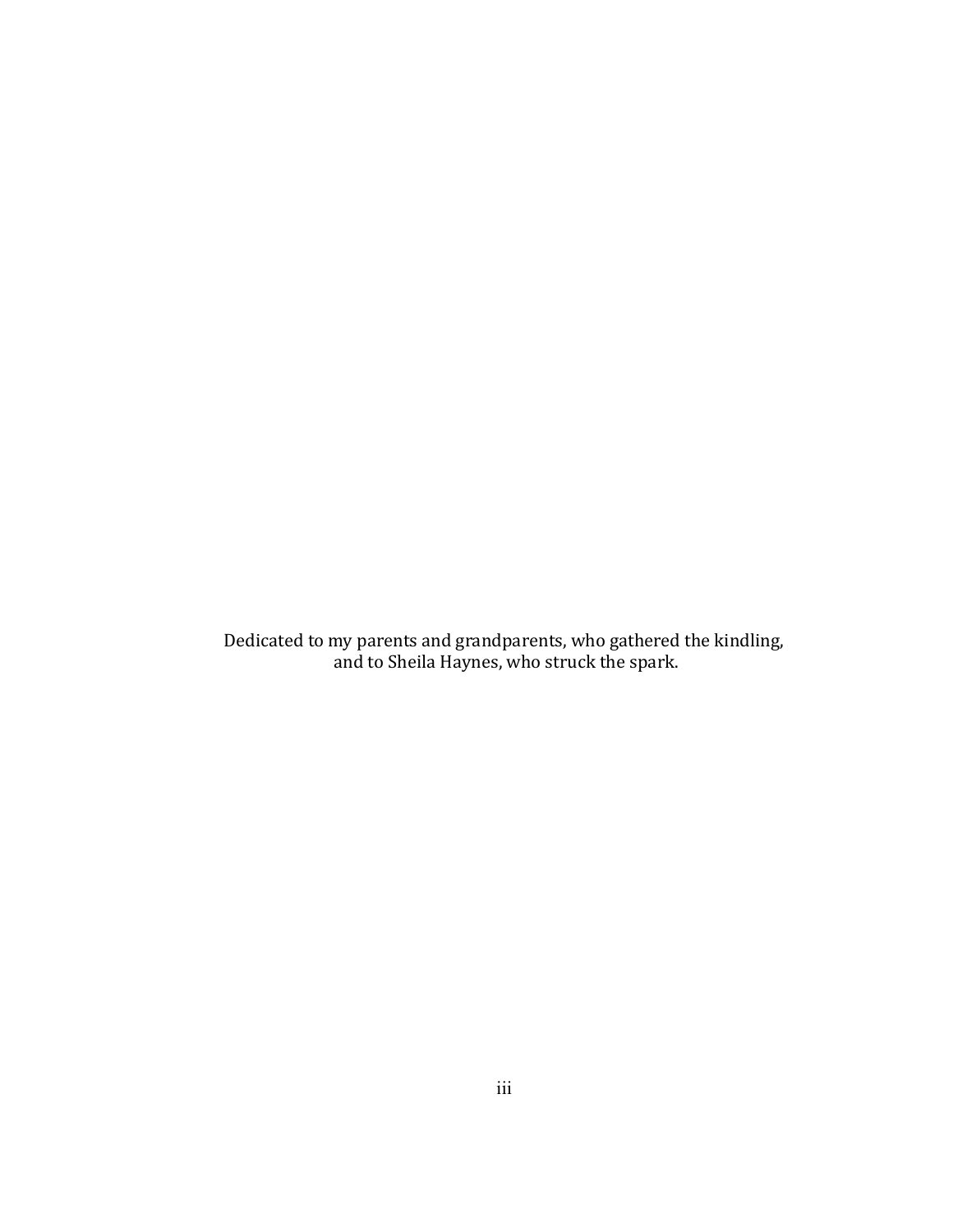Dedicated to my parents and grandparents, who gathered the kindling, and to Sheila Haynes, who struck the spark.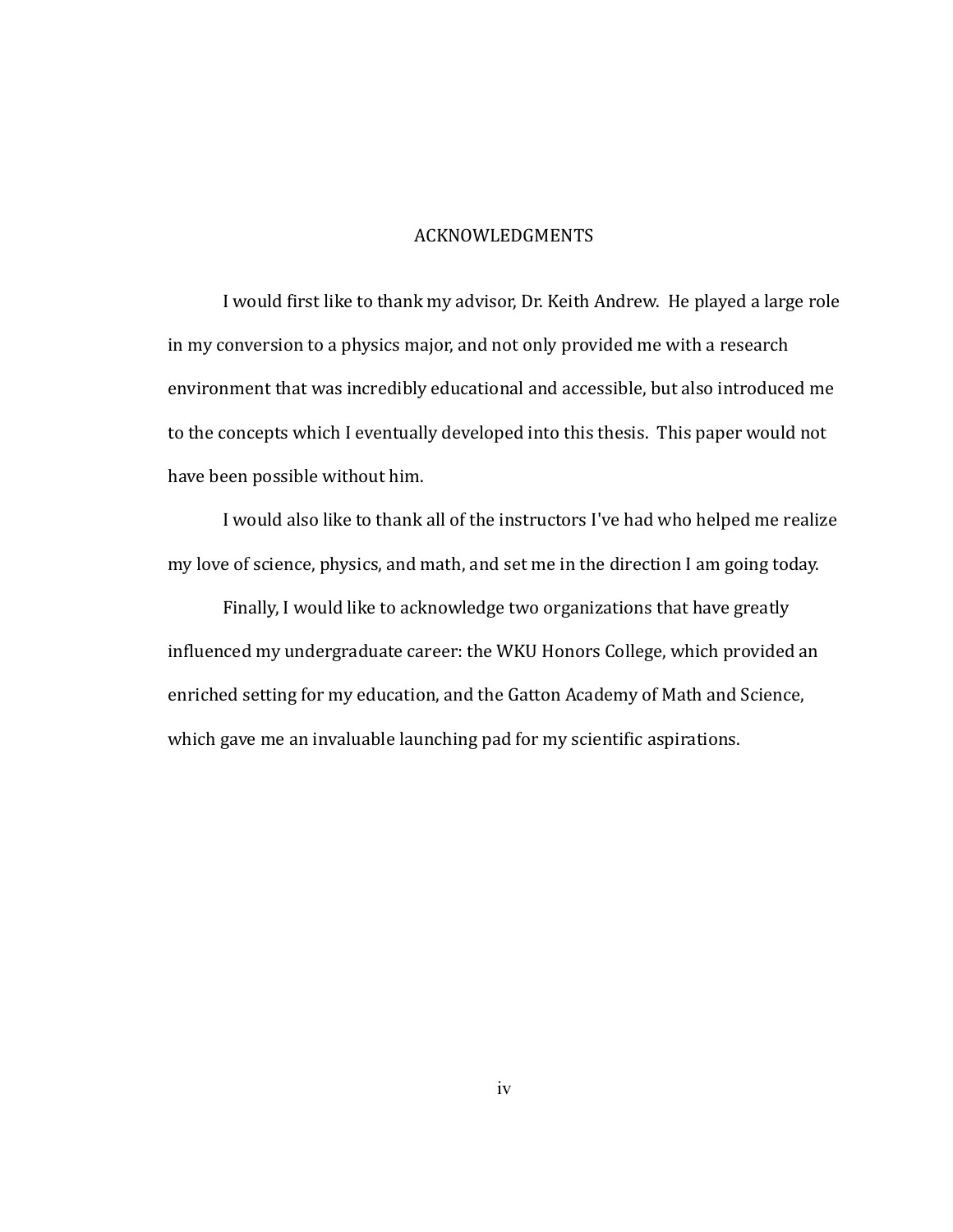#### ACKNOWLEDGMENTS

I, would first like to thank my advisor, Dr. Keith Andrew. He played a large role in, my conversion to a physics major, and not only provided me with a research environment that was incredibly educational and accessible, but also introduced me to the concepts which I eventually developed into this thesis. This paper would not have been possible without him.

I would also like to thank all of the instructors I've had who helped me realize my love of science, physics, and math, and set me in the direction I am going today.

Finally, I would like to acknowledge two organizations that have greatly influenced my undergraduate career: the WKU Honors College, which provided an enriched setting for my education, and the Gatton Academy of Math and Science, which gave me an invaluable launching pad for my scientific aspirations.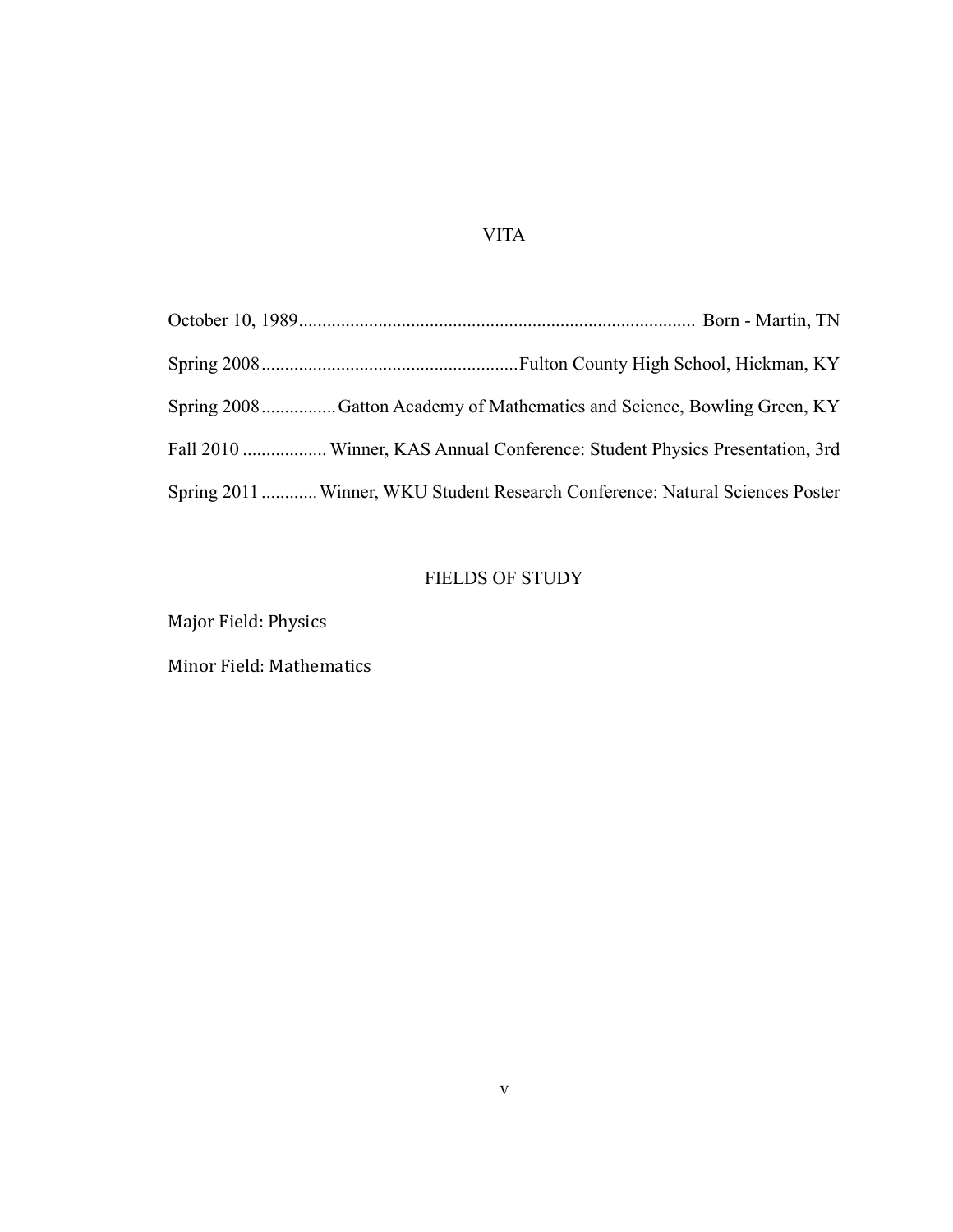## VITA

| Spring 2008Gatton Academy of Mathematics and Science, Bowling Green, KY       |
|-------------------------------------------------------------------------------|
| Fall 2010  Winner, KAS Annual Conference: Student Physics Presentation, 3rd   |
| Spring 2011  Winner, WKU Student Research Conference: Natural Sciences Poster |

## FIELDS OF STUDY

Major Field: Physics

Minor Field: Mathematics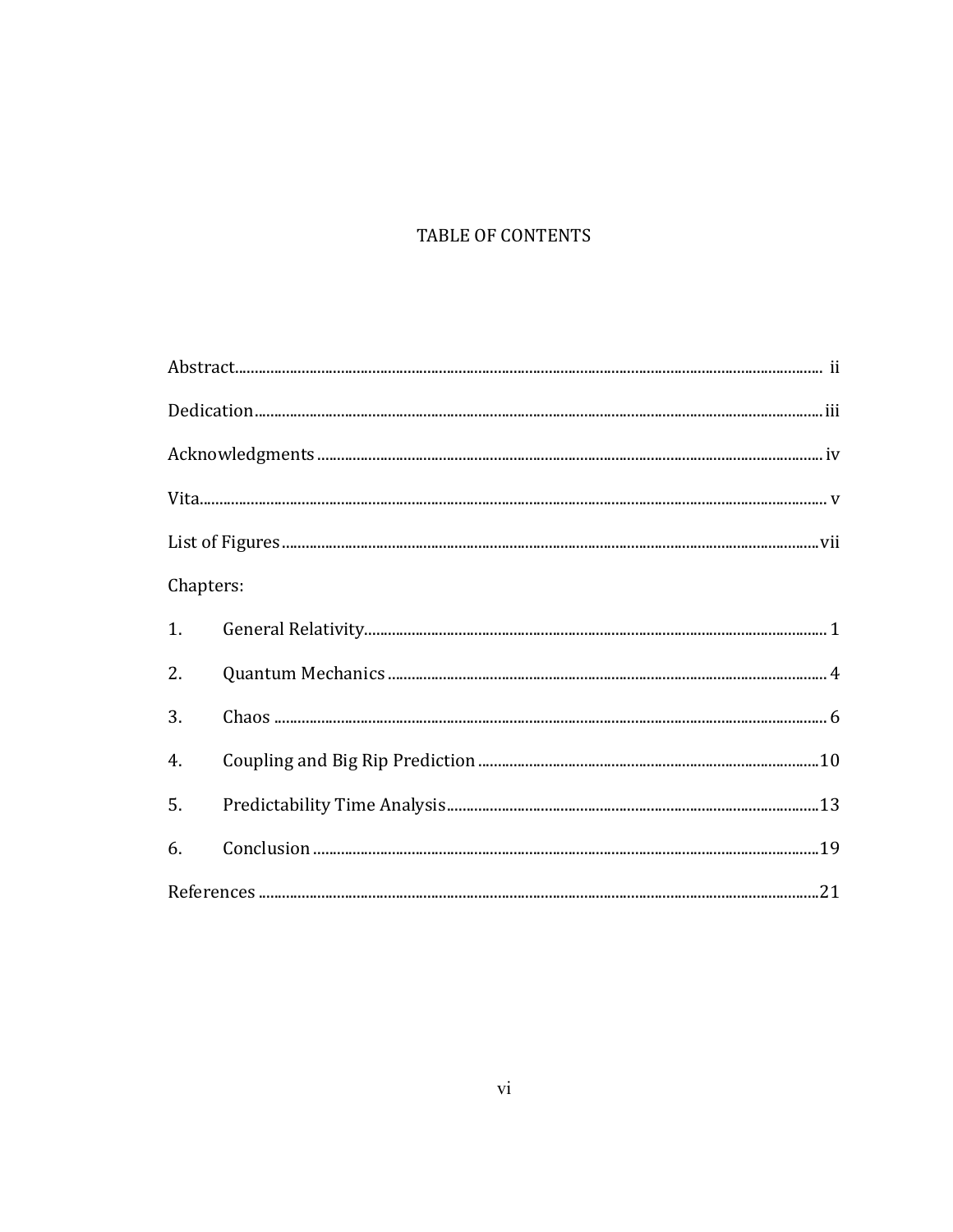# TABLE OF CONTENTS

| Chapters: |  |
|-----------|--|
|           |  |
| 2.        |  |
| 3.        |  |
| 4.        |  |
| 5.        |  |
| 6.        |  |
|           |  |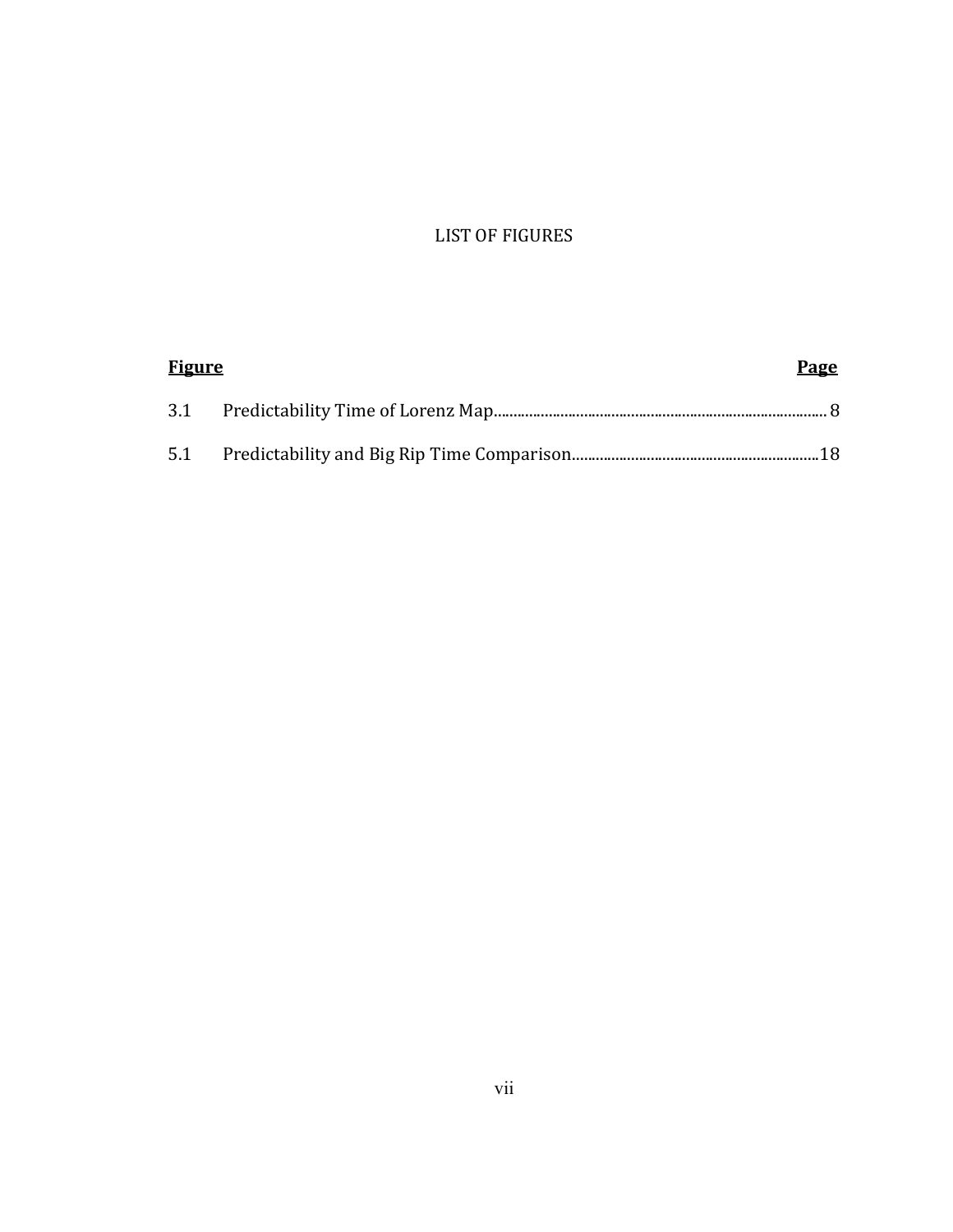## LIST OF FIGURES

| <b>Figure</b> |  | Page |  |
|---------------|--|------|--|
|               |  |      |  |
|               |  |      |  |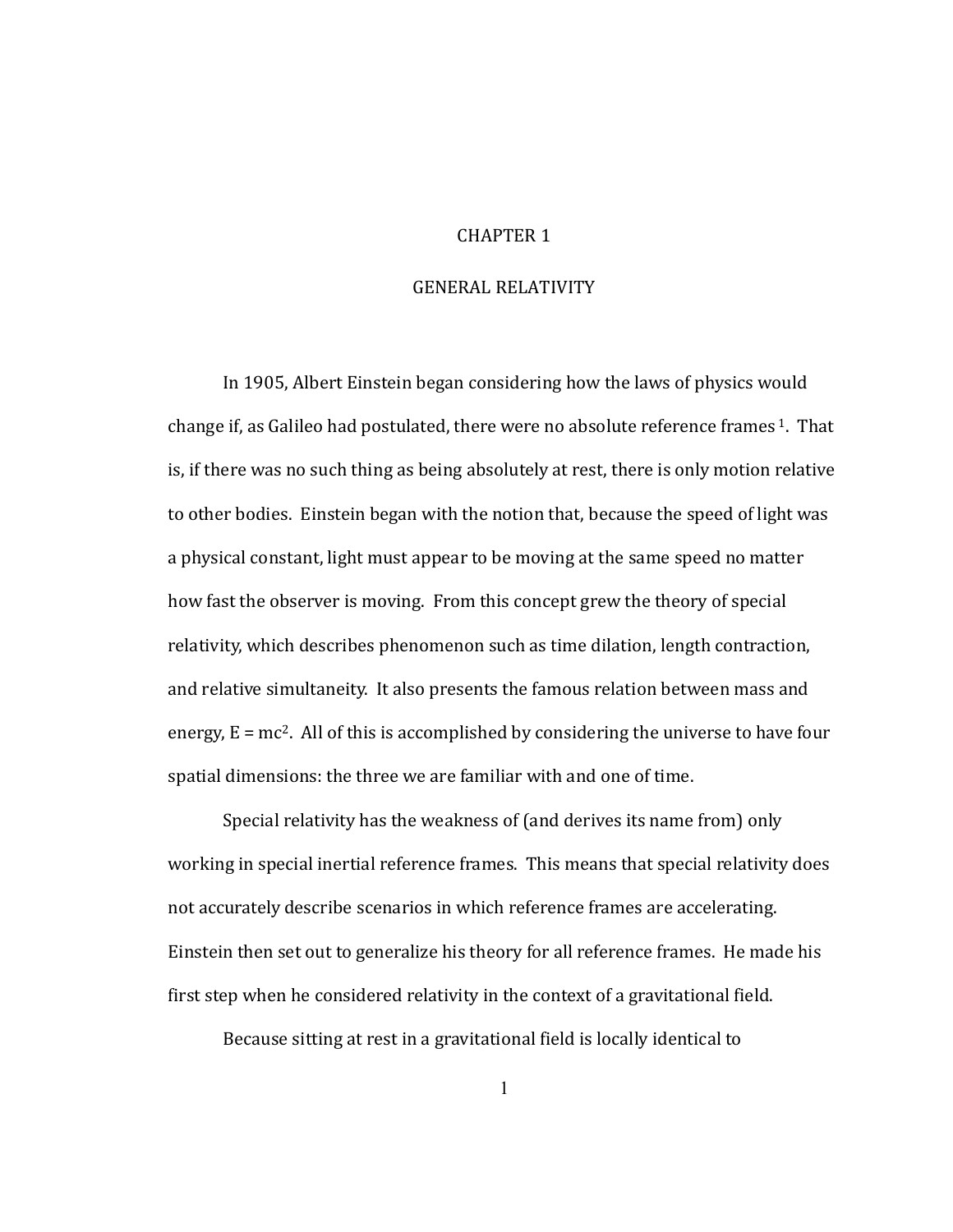#### CHAPTER<sub>1</sub>

#### GENERAL RELATIVITY

In,1905, Albert Einstein, began, considering, how, the laws of physics would change if, as Galileo had postulated, there were no absolute reference frames  $1$ . That is, if there was no such thing as being absolutely at rest, there is only motion relative to other bodies. Einstein began with the notion that, because the speed of light was a, physical, constant, light must appear to be moving at the same speed no matter how fast the observer is moving. From this concept grew the theory of special relativity, which describes phenomenon such as time dilation, length contraction, and relative simultaneity. It also presents the famous relation between mass and energy,  $E=mc^2$ . All of this is accomplished by considering the universe to have four spatial dimensions: the three we are familiar with and one of time.

Special relativity has the weakness of (and derives its name from) only working in special inertial reference frames. This means that special relativity does not accurately describe, scenarios, in which reference frames are accelerating. Einstein then set out to generalize his theory for all reference frames. He made his first step when he considered relativity in the context of a gravitational field.

Because sitting at rest in a gravitational field is locally identical to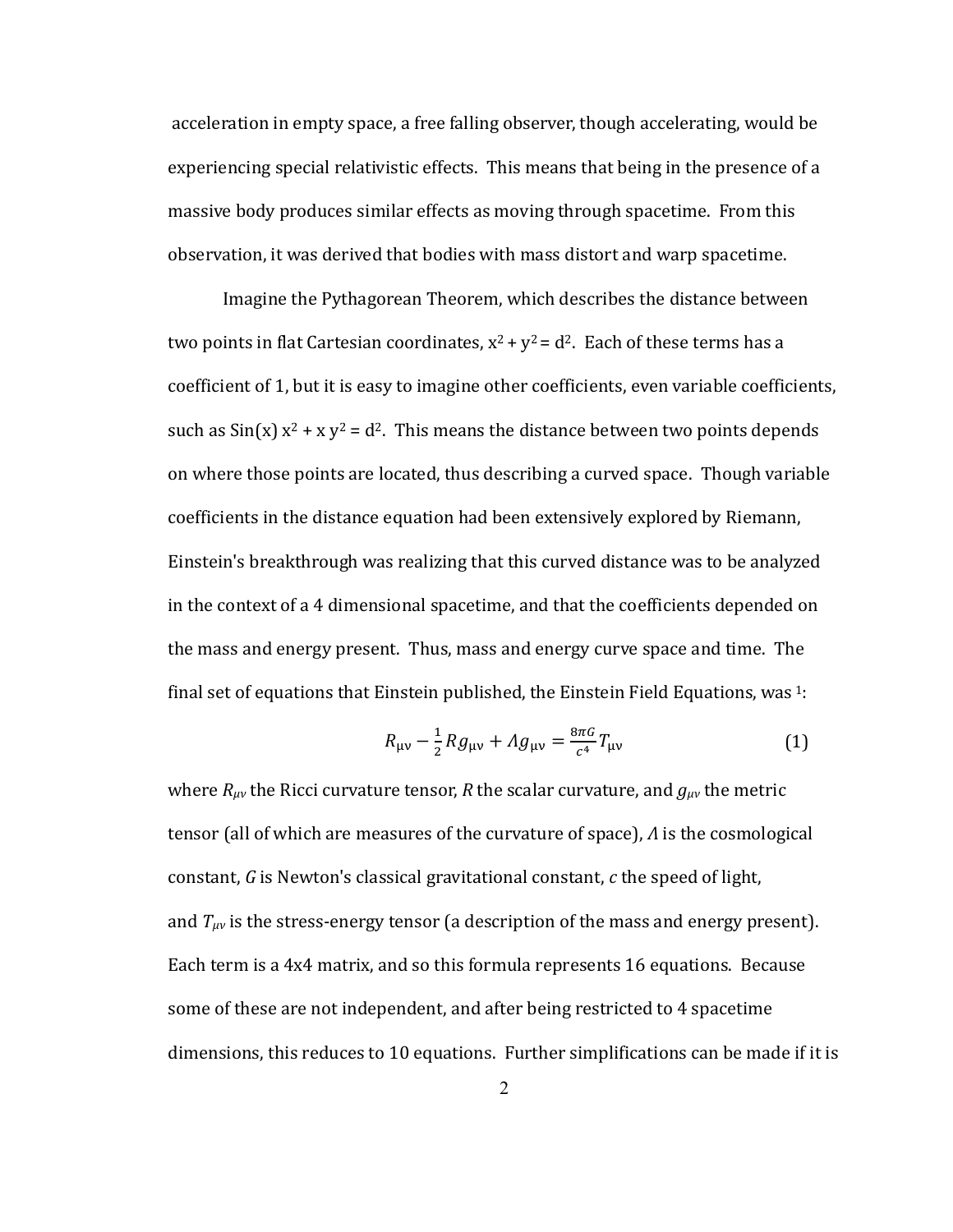acceleration in empty space, a free falling observer, though accelerating, would be experiencing special relativistic effects. This means that being in the presence of a massive body produces similar effects as moving through spacetime. From this observation, it was derived that bodies with mass distort and warp spacetime.

Imagine, the Pythagorean Theorem, which describes the distance between two points in flat Cartesian coordinates,  $x^2 + y^2 = d^2$ . Each of these terms has a coefficient of 1, but it is easy to imagine other coefficients, even variable coefficients, such as  $\sin(x)$  x<sup>2</sup> + x y<sup>2</sup> = d<sup>2</sup>. This means the distance between two points depends on where those points are located, thus describing a curved space. Though variable coefficients in the distance equation had been extensively explored by Riemann, Einstein's breakthrough was realizing that this curved distance was to be analyzed in the context of a 4 dimensional spacetime, and that the coefficients depended on the mass and energy present. Thus, mass and energy curve space and time. The final set of equations that Einstein published, the Einstein Field Equations, was  $1$ :

$$
R_{\mu\nu} - \frac{1}{2} R g_{\mu\nu} + A g_{\mu\nu} = \frac{8\pi G}{c^4} T_{\mu\nu}
$$
 (1)

where  $R_{\mu\nu}$  the Ricci curvature tensor, *R* the scalar curvature, and  $g_{\mu\nu}$  the metric tensor (all of which are measures of the curvature of space), *A* is the cosmological constant, G is Newton's classical gravitational constant, c the speed of light, and  $T_{\mu\nu}$  is the stress-energy tensor (a description of the mass and energy present). Each term is a 4x4 matrix, and so this formula represents 16 equations. Because some of these are not independent, and after being restricted to 4 spacetime dimensions, this reduces to 10 equations. Further simplifications can be made if it is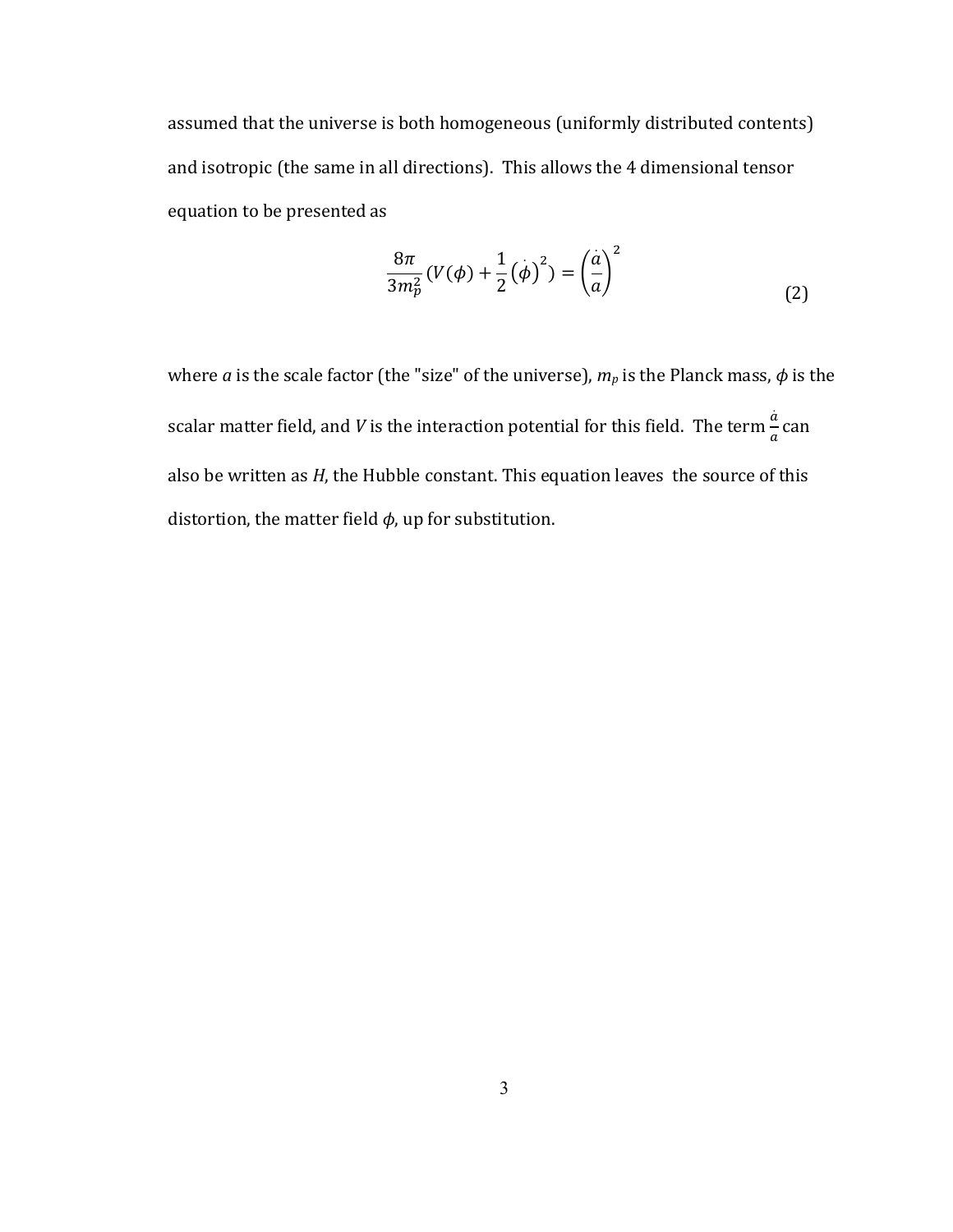assumed that the universe is both homogeneous (uniformly distributed contents) and isotropic (the same in all directions). This allows the 4 dimensional tensor equation to be presented as

$$
\frac{8\pi}{3m_p^2}(V(\phi) + \frac{1}{2}(\dot{\phi})^2) = \left(\frac{\dot{a}}{a}\right)^2\tag{2}
$$

where *a* is the scale factor (the "size" of the universe),  $m_p$  is the Planck mass,  $\phi$  is the scalar matter field, and *V* is the interaction potential for this field. The term  $\frac{\dot{a}}{a}$  $\frac{a}{a}$  can also,be, written, as *H*, the Hubble constant. This equation leaves, the source of this distortion, the matter field  $\phi$ , up for substitution.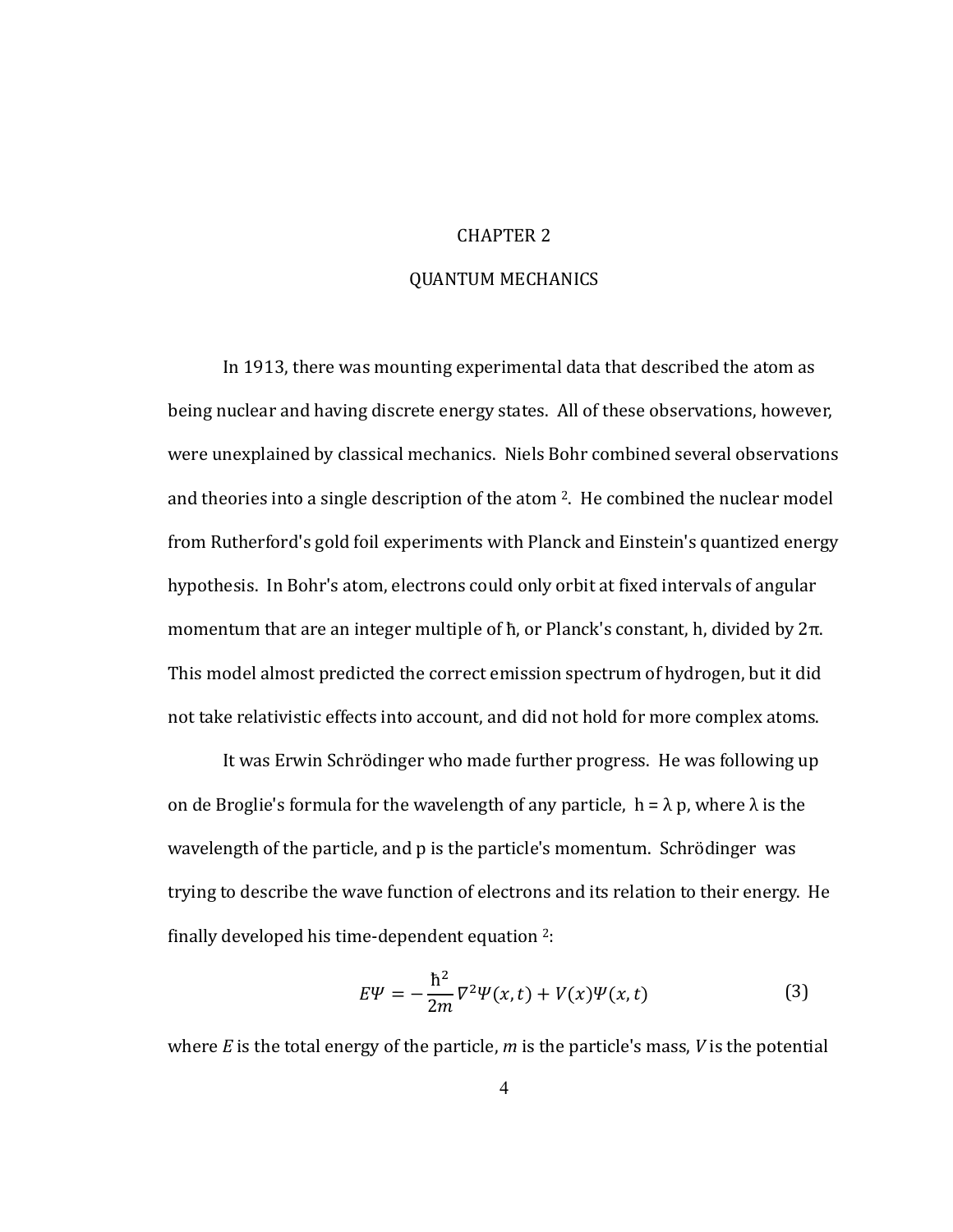#### CHAPTER 2

#### QUANTUM MECHANICS

In,1913, there was mounting experimental data that described the atom as being nuclear and having discrete energy states. All of these observations, however, were unexplained by classical mechanics. Niels Bohr combined several observations and theories into a single description of the atom  $2$ . He combined the nuclear model from,Rutherford's gold, foil experiments with Planck and Einstein's quantized energy hypothesis. In Bohr's atom, electrons could only orbit at fixed intervals of angular momentum that are an integer multiple of  $\hbar$ , or Planck's constant, h, divided by  $2\pi$ . This model almost predicted the correct emission spectrum of hydrogen, but it did not take relativistic effects into account, and did not hold for more complex atoms.

It was Erwin Schrödinger who made further progress. He was following up on de Broglie's formula for the wavelength of any particle,  $h = \lambda p$ , where  $\lambda$  is the wavelength of the particle, and p is the particle's momentum. Schrödinger was trying to describe the wave function of electrons and its relation to their energy. He finally developed his time-dependent equation  $2$ :

$$
E\Psi = -\frac{\hbar^2}{2m}\nabla^2\Psi(x,t) + V(x)\Psi(x,t) \tag{3}
$$

where  $E$  is the total energy of the particle,  $m$  is the particle's mass,  $V$  is the potential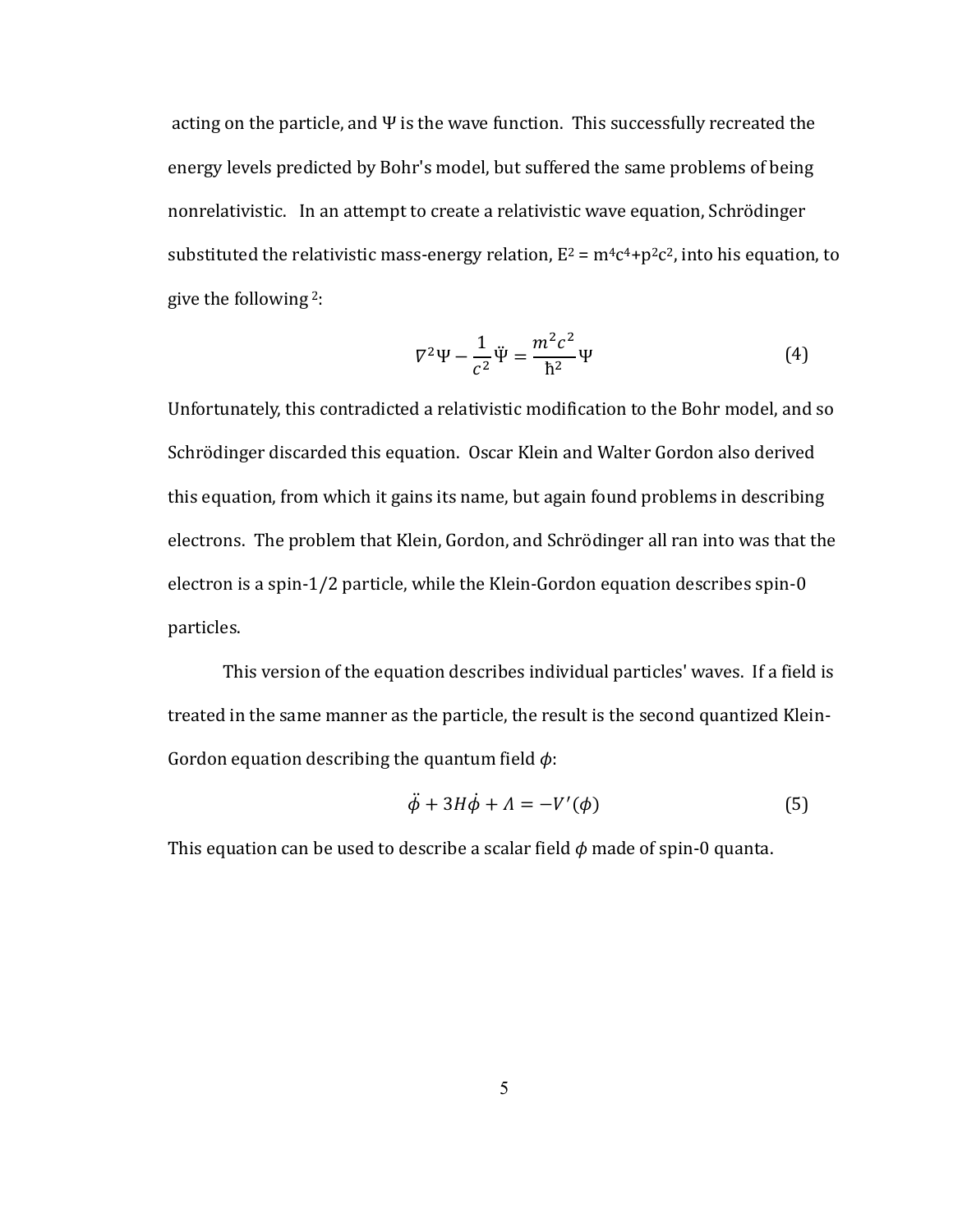acting on the particle, and  $\Psi$  is the wave function. This successfully recreated the energy, levels predicted by Bohr's model, but suffered the same problems of being nonrelativistic. In an attempt to create a relativistic wave equation, Schrödinger substituted the relativistic mass-energy relation,  $E^2 = m^4c^4 + p^2c^2$ , into his equation, to give the following  $2$ :

$$
\nabla^2 \Psi - \frac{1}{c^2} \ddot{\Psi} = \frac{m^2 c^2}{\hbar^2} \Psi \tag{4}
$$

Unfortunately, this contradicted a relativistic modification to the Bohr model, and so Schrödinger discarded this equation. Oscar Klein and Walter Gordon also derived this equation, from which it gains its name, but again found problems in describing electrons. The problem that Klein, Gordon, and Schrödinger all ran into was that the electron is a spin-1/2 particle, while the Klein-Gordon equation describes spin-0 particles.

This version of the equation describes individual particles' waves. If a field is treated in the same manner as the particle, the result is the second quantized Klein-Gordon equation describing the quantum field  $\phi$ :

$$
\ddot{\phi} + 3H\dot{\phi} + \Lambda = -V'(\phi) \tag{5}
$$

This equation can be used to describe a scalar field  $\phi$  made of spin-0 quanta.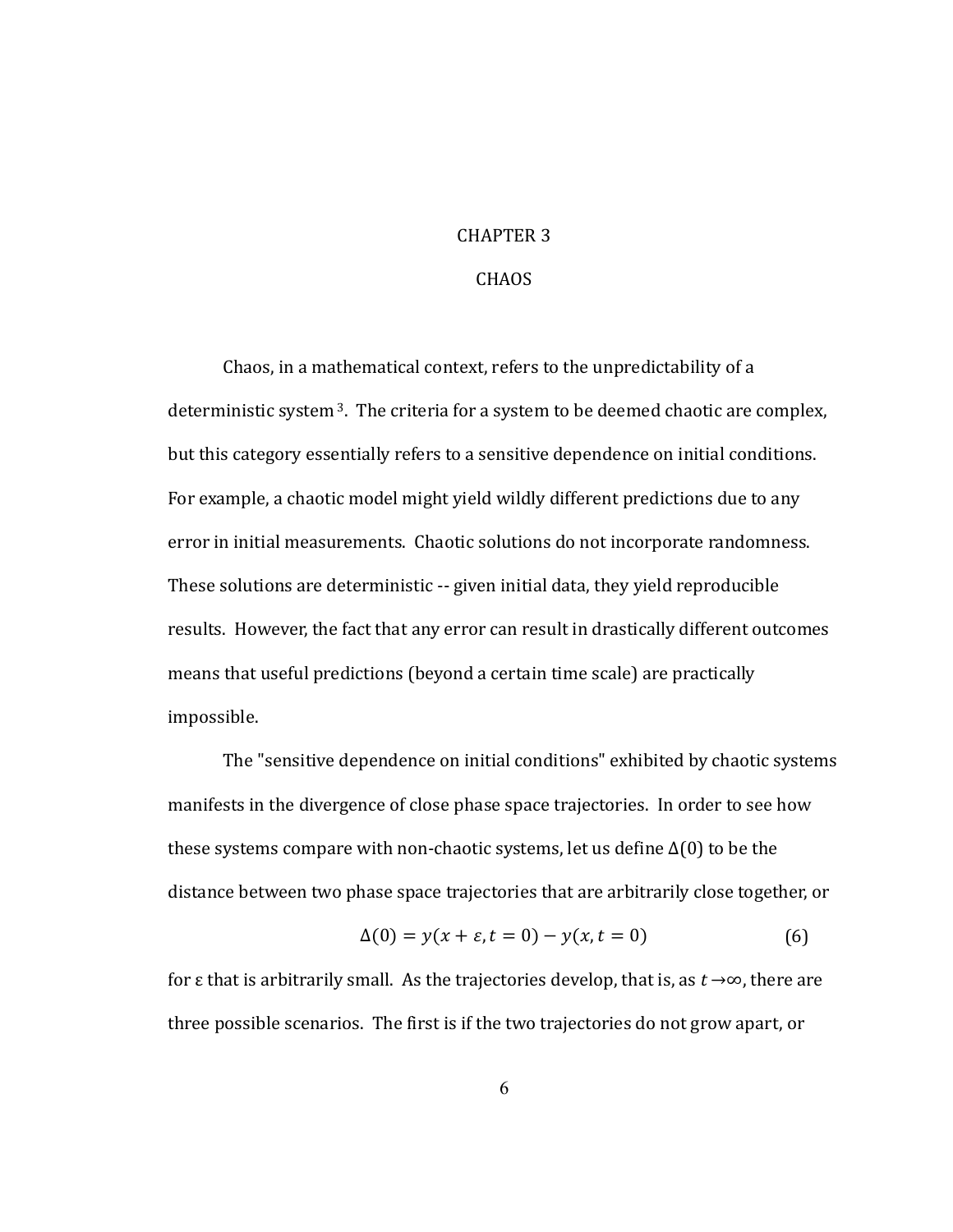#### **CHAPTER 3**

#### **CHAOS**

Chaos, in a mathematical context, refers to the unpredictability of a deterministic system<sup>3</sup>. The criteria for a system to be deemed chaotic are complex, but this category essentially refers to a sensitive dependence on initial conditions. For example, a chaotic model might yield wildly different predictions due to any error in initial measurements. Chaotic solutions do not incorporate randomness. These solutions are deterministic -- given initial data, they yield reproducible results. However, the fact that any error can result in drastically different outcomes means that useful predictions (beyond a certain time scale) are practically impossible.

The "sensitive dependence on initial conditions" exhibited by chaotic systems manifests in the divergence of close phase space trajectories. In order to see how these systems compare with non-chaotic systems, let us define  $\Delta(0)$  to be the distance between two phase space trajectories that are arbitrarily close together, or

$$
\Delta(0) = y(x + \varepsilon, t = 0) - y(x, t = 0)
$$
 (6)

for  $\varepsilon$  that is arbitrarily small. As the trajectories develop, that is, as  $t \rightarrow \infty$ , there are three possible scenarios. The first is if the two trajectories do not grow apart, or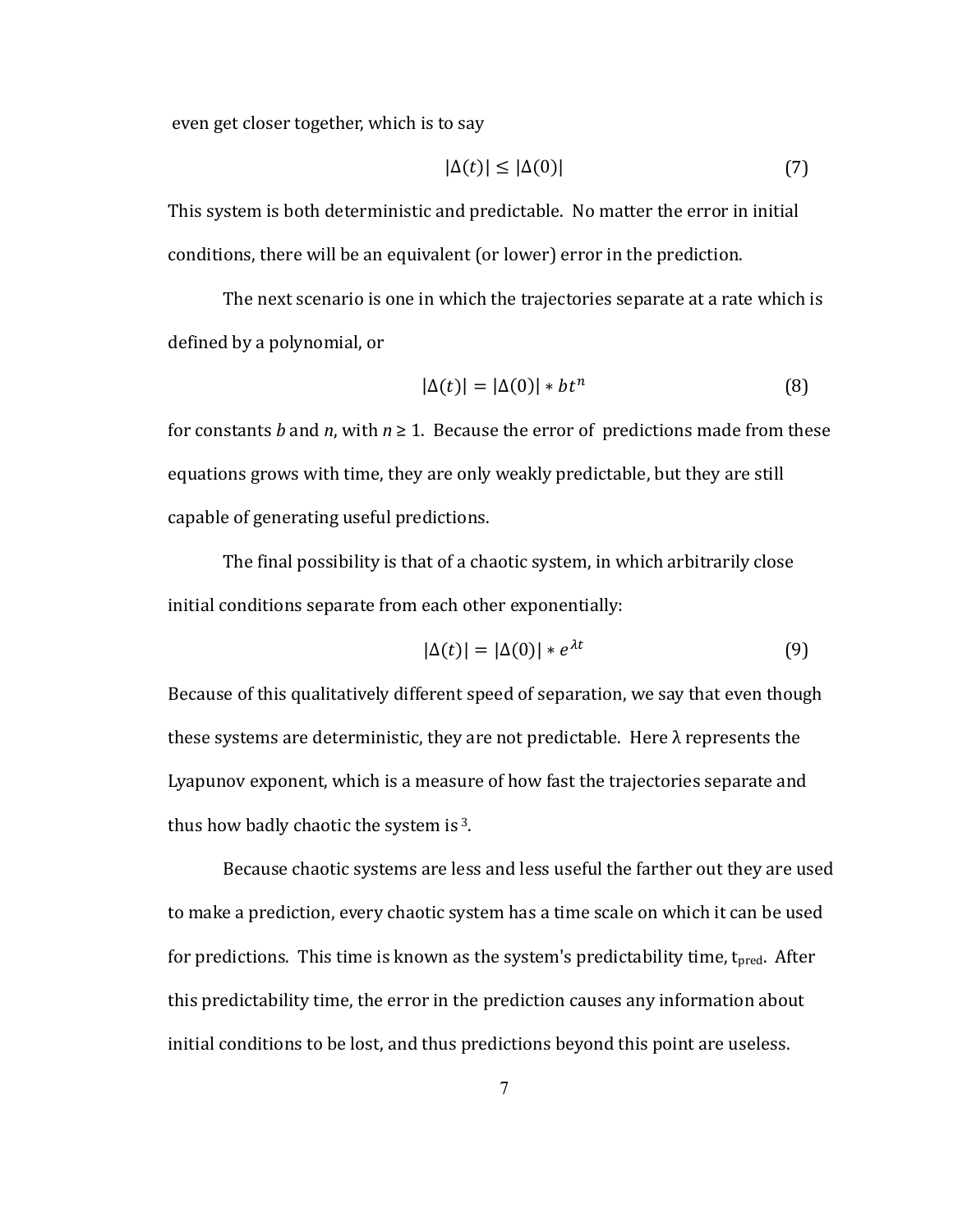even get closer together, which is to say

$$
|\Delta(t)| \le |\Delta(0)|\tag{7}
$$

This system is both deterministic and predictable. No matter the error in initial conditions, there will be an equivalent (or lower) error in the prediction.

The next scenario is one in which the trajectories separate at a rate which is defined by a polynomial, or

$$
|\Delta(t)| = |\Delta(0)| * bt^n \tag{8}
$$

for constants b and n, with  $n \geq 1$ . Because the error of predictions made from these equations grows with time, they are only weakly predictable, but they are still capable of generating useful predictions.

The final possibility is that of a chaotic system, in which arbitrarily close initial conditions separate from each other exponentially:

$$
|\Delta(t)| = |\Delta(0)| * e^{\lambda t} \tag{9}
$$

Because of this qualitatively different speed of separation, we say that even though these systems are deterministic, they are not predictable. Here  $\lambda$  represents the Lyapunov exponent, which is a measure of how fast the trajectories separate and thus how badly chaotic the system is 3.

Because chaotic systems are less and less useful the farther out they are used to make a prediction, every chaotic system has a time scale on which it can be used for predictions. This time is known as the system's predictability time, t<sub>pred</sub>. After this predictability time, the error in the prediction causes any information about initial conditions to be lost, and thus predictions beyond this point are useless.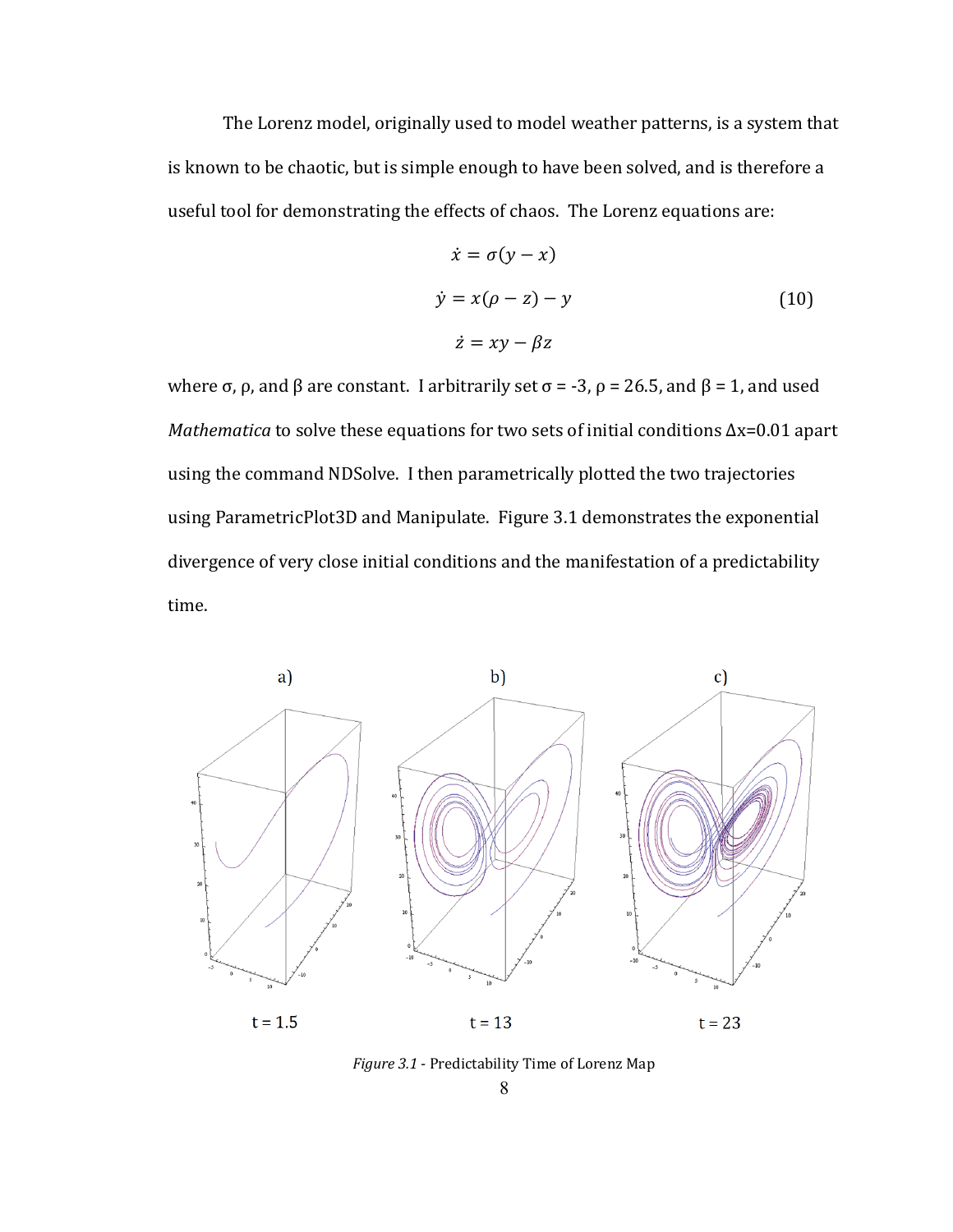The Lorenz model, originally used to model weather patterns, is a system that is known to be chaotic, but is simple enough to have been solved, and is therefore a useful tool for demonstrating the effects of chaos. The Lorenz equations are:

$$
\begin{aligned}\n\dot{x} &= \sigma(y - x) \\
\dot{y} &= x(\rho - z) - y \\
\dot{z} &= xy - \beta z\n\end{aligned} \tag{10}
$$

where  $\sigma$ ,  $\rho$ , and  $\beta$  are constant. I arbitrarily set  $\sigma$  = -3,  $\rho$  = 26.5, and  $\beta$  = 1, and used Mathematica to solve these equations for two sets of initial conditions  $\Delta x = 0.01$  apart using the command NDSolve. I then parametrically plotted the two trajectories using ParametricPlot3D and Manipulate. Figure 3.1 demonstrates the exponential divergence of very close initial conditions and the manifestation of a predictability time.



Figure 3.1 - Predictability Time of Lorenz Map

8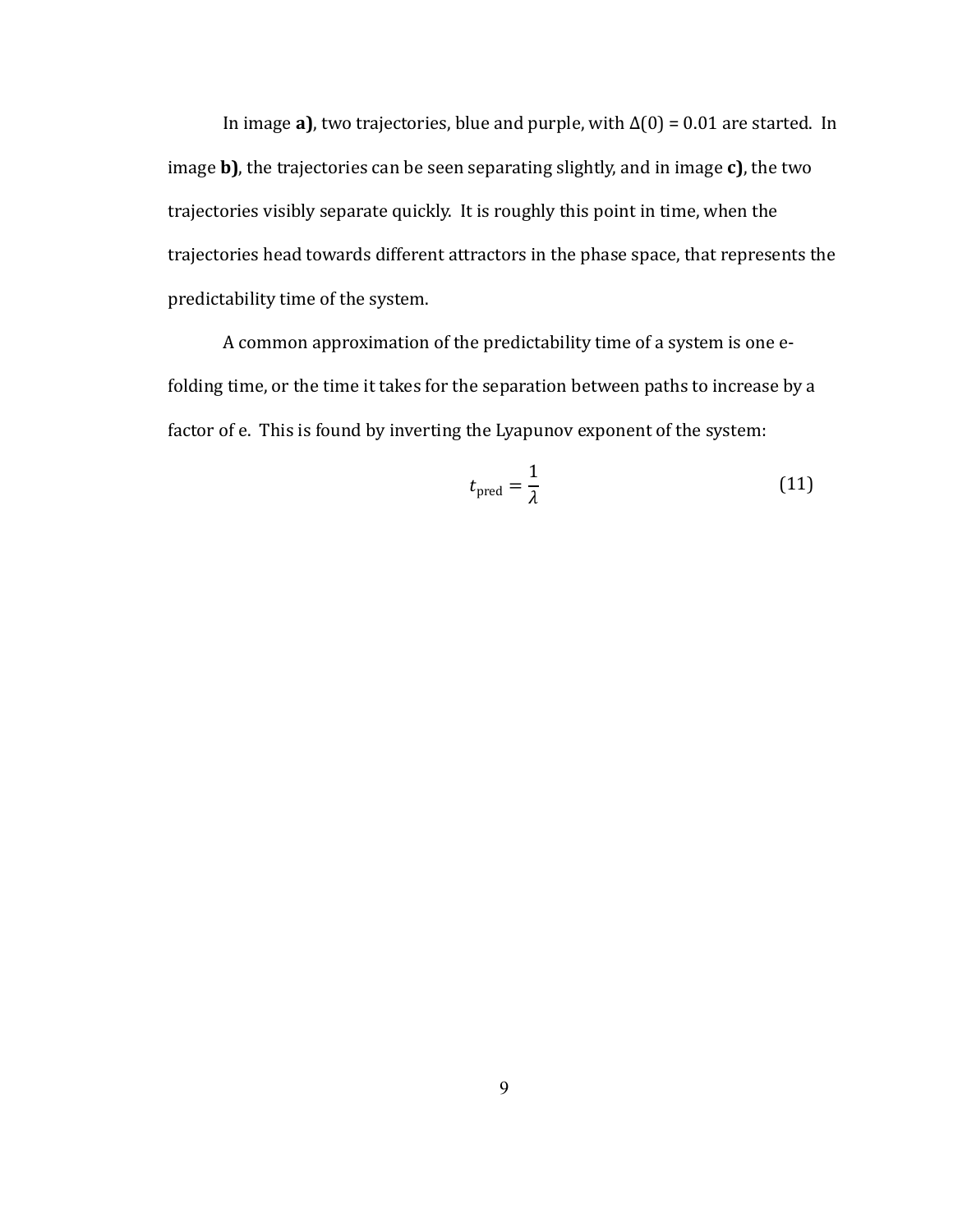In image a), two trajectories, blue and purple, with  $\Delta(0) = 0.01$  are started. In image  $\mathbf b$ ), the trajectories can be seen separating slightly, and in image  $\mathbf c$ ), the two trajectories visibly separate quickly. It is roughly this point in time, when the trajectories head towards different attractors in the phase space, that represents the predictability time of the system.

A common approximation of the predictability time of a system is one efolding time, or the time it takes for the separation between paths to increase by a factor of e. This is found by inverting the Lyapunov exponent of the system:

$$
t_{\text{pred}} = \frac{1}{\lambda} \tag{11}
$$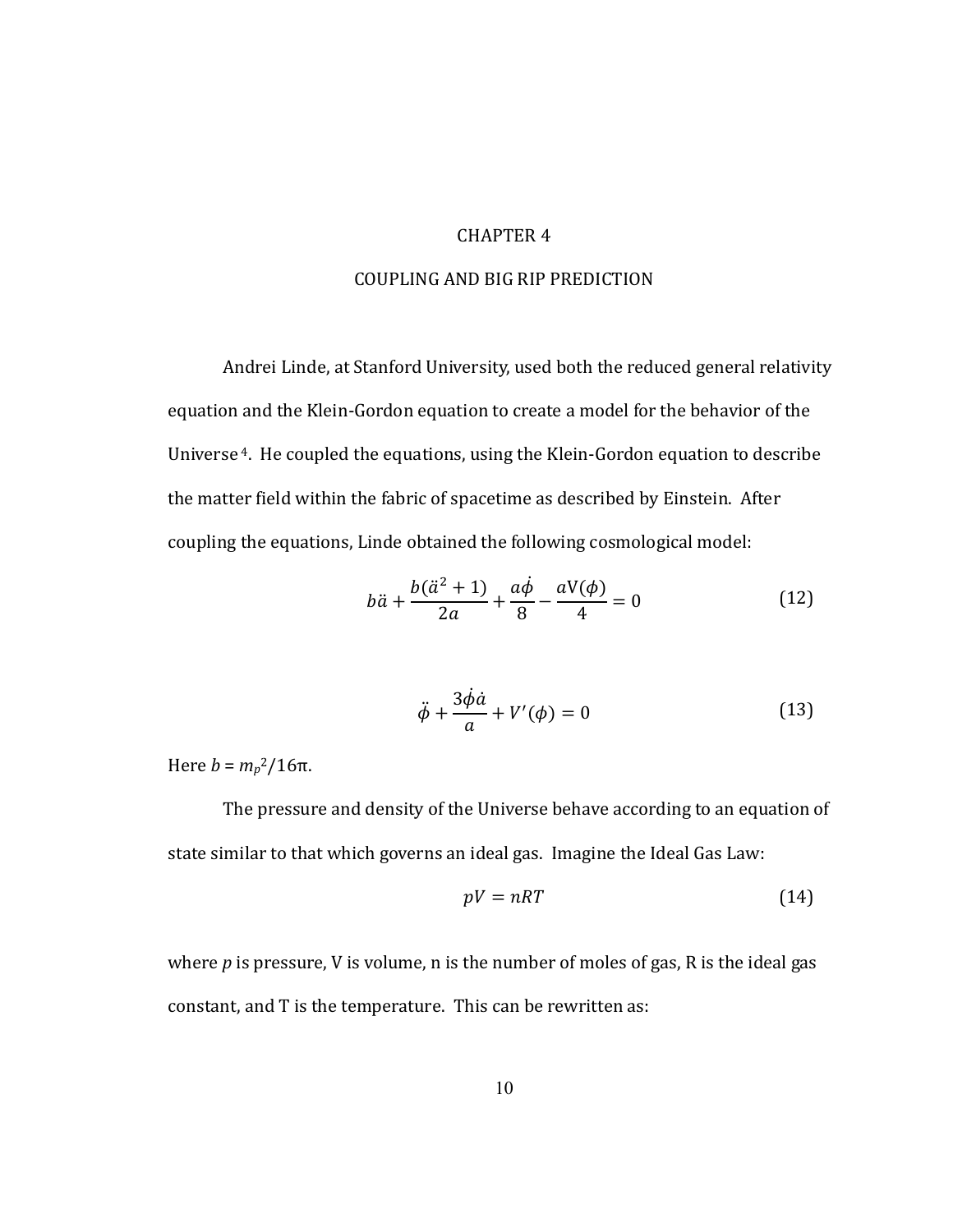#### CHAPTER 4

#### COUPLING,AND,BIG RIP PREDICTION

Andrei Linde, at Stanford University, used both the reduced general relativity equation and the Klein-Gordon equation to create a model for the behavior of the Universe<sup>4</sup>. He coupled the equations, using the Klein-Gordon equation to describe the matter field within the fabric of spacetime as described by Einstein. After coupling the equations, Linde obtained the following cosmological model:

$$
b\ddot{a} + \frac{b(\ddot{a}^2 + 1)}{2a} + \frac{a\dot{\phi}}{8} - \frac{aV(\phi)}{4} = 0
$$
 (12)

$$
\ddot{\phi} + \frac{3\dot{\phi}\dot{a}}{a} + V'(\phi) = 0
$$
\n(13)

Here  $b = m_p^2/16π$ .

The pressure and density of the Universe behave according to an equation of state similar to that which governs an ideal gas. Imagine the Ideal Gas Law:

$$
pV = nRT \tag{14}
$$

where *p* is pressure, V is volume, n is the number of moles of gas, R is the ideal gas constant, and T is the temperature. This can be rewritten as: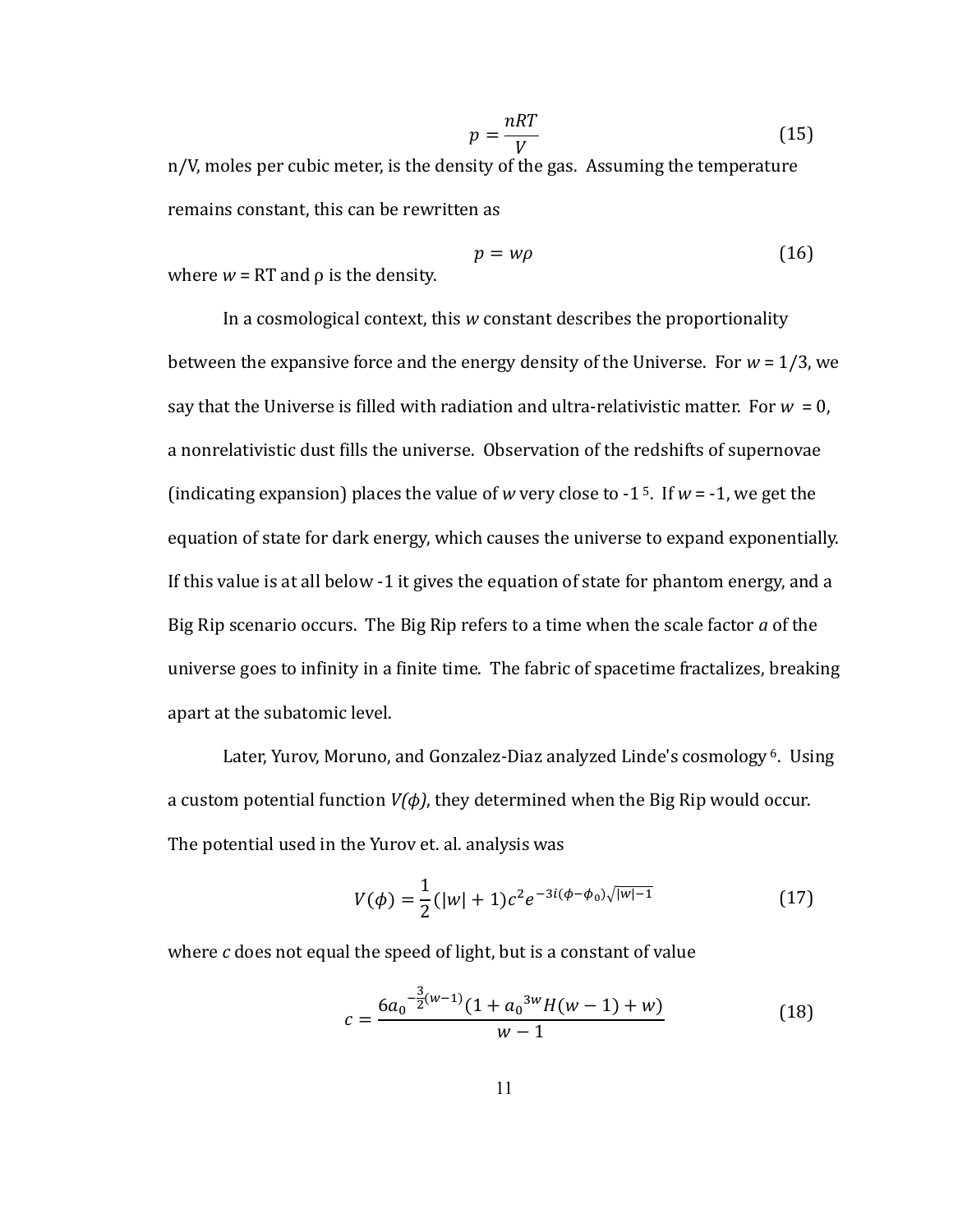$$
p = \frac{nRT}{V} \tag{15}
$$

n/V, moles per cubic meter, is the density of the gas. Assuming the temperature remains constant, this can be rewritten as

$$
p = w\rho \tag{16}
$$

where  $w = RT$  and  $\rho$  is the density.

In a cosmological context, this w constant describes the proportionality between the expansive force and the energy density of the Universe. For  $w = 1/3$ , we say that the Universe is filled with radiation and ultra-relativistic matter. For  $w = 0$ , a nonrelativistic dust fills the universe. Observation of the redshifts of supernovae (indicating expansion) places the value of w very close to -1<sup>5</sup>. If  $w = -1$ , we get the equation of state for dark energy, which causes the universe to expand exponentially. If this value is at all below -1 it gives the equation of state for phantom energy, and a Big Rip scenario occurs. The Big Rip refers to a time when the scale factor a of the universe goes to infinity in a finite time. The fabric of spacetime fractalizes, breaking apart at the subatomic level.

Later, Yurov, Moruno, and Gonzalez-Diaz analyzed Linde's cosmology<sup>6</sup>. Using a custom potential function  $V(\phi)$ , they determined when the Big Rip would occur. The potential used in the Yurov et. al. analysis was

$$
V(\phi) = \frac{1}{2} (|w| + 1)c^2 e^{-3i(\phi - \phi_0)\sqrt{|w| - 1}}
$$
 (17)

where c does not equal the speed of light, but is a constant of value

$$
c = \frac{6a_0^{-\frac{3}{2}(w-1)}(1 + a_0^{-3w}H(w-1) + w)}{w-1}
$$
 (18)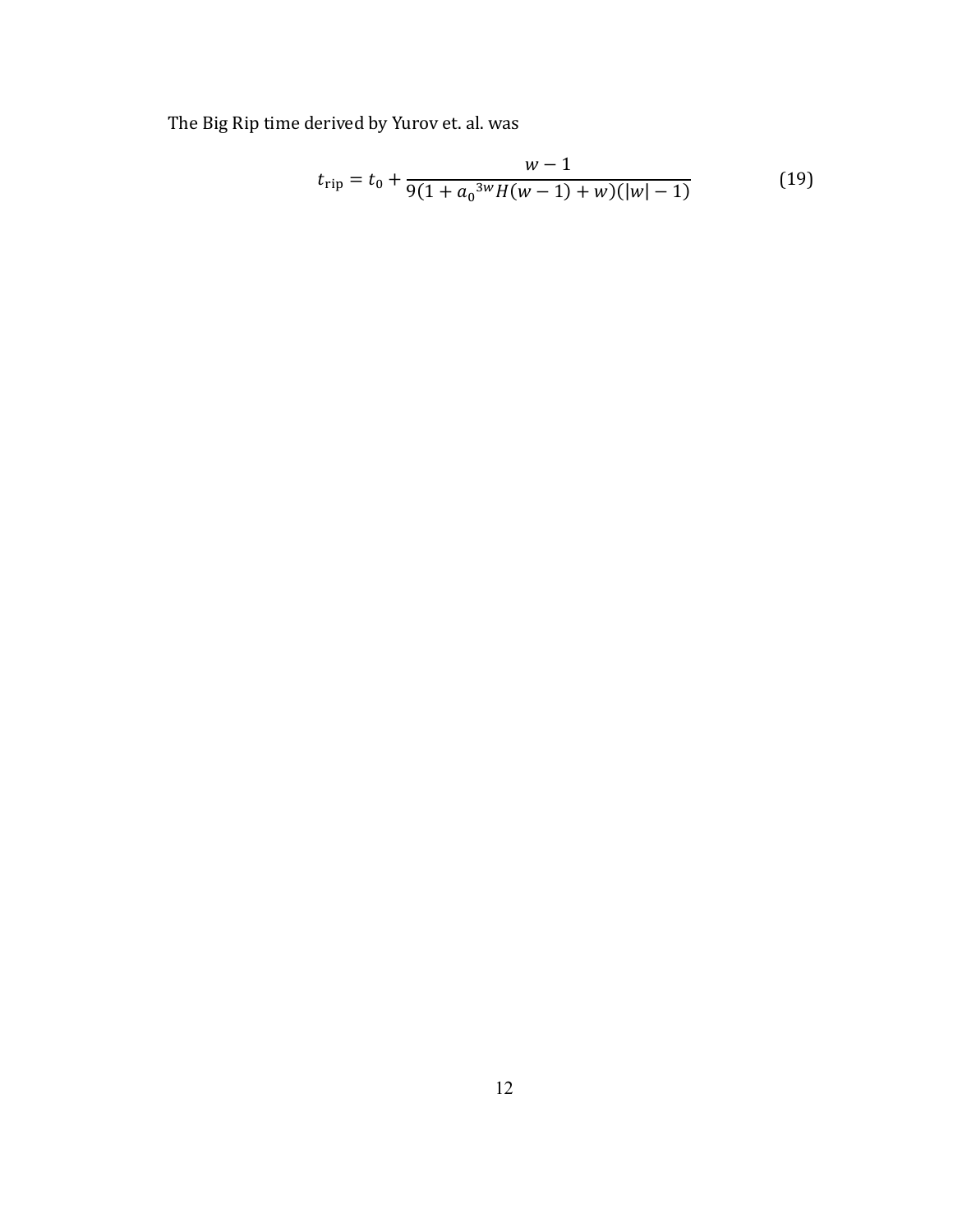The Big Rip time derived by Yurov et. al. was

$$
t_{\rm rip} = t_0 + \frac{w - 1}{9(1 + a_0^{3w}H(w - 1) + w)(|w| - 1)}
$$
(19)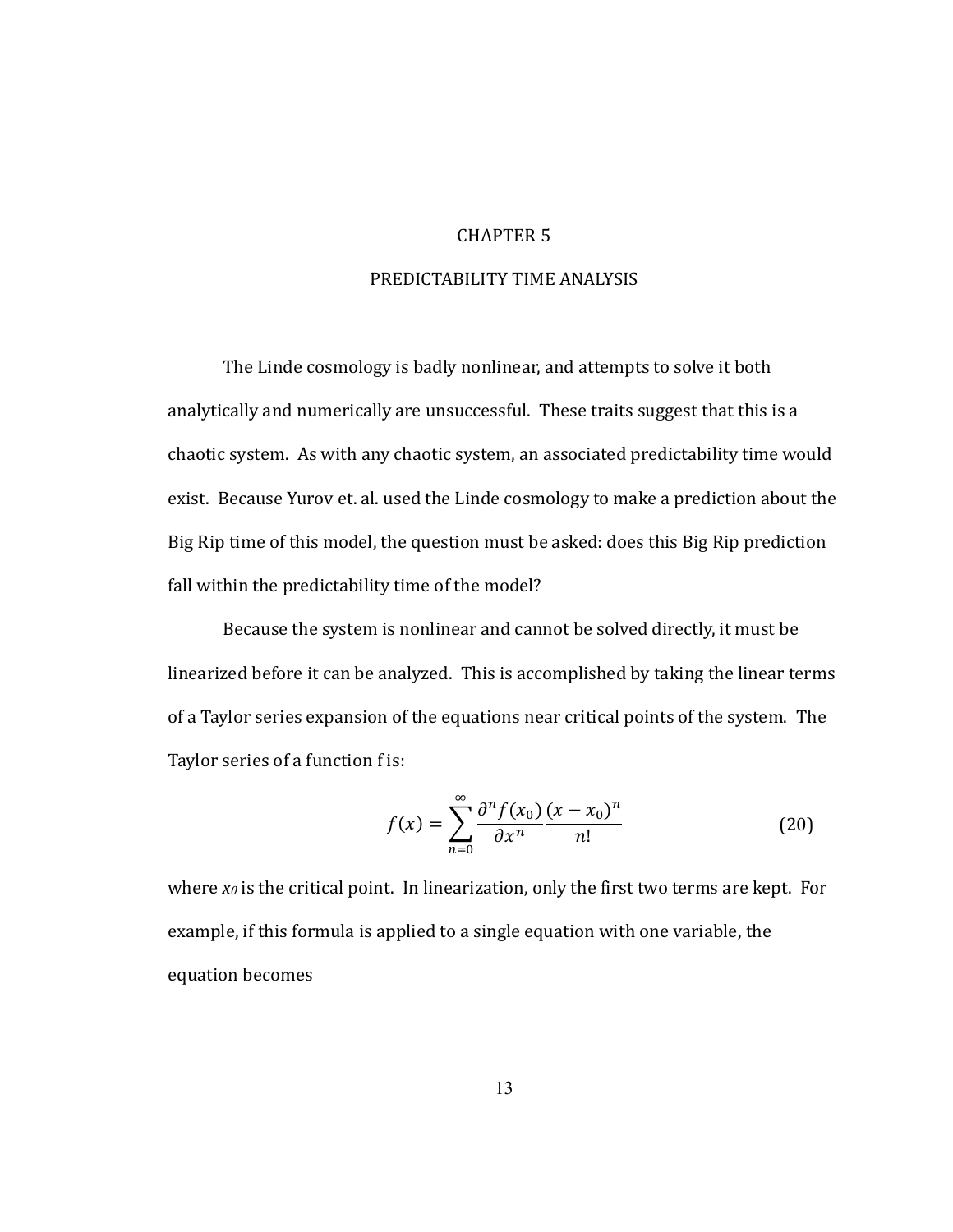#### **CHAPTER 5**

#### PREDICTABILITY TIME ANALYSIS

The Linde cosmology is badly nonlinear, and attempts to solve it both analytically and numerically are unsuccessful. These traits suggest that this is a chaotic system. As with any chaotic system, an associated predictability time would exist. Because Yurov et. al. used the Linde cosmology to make a prediction about the Big Rip time of this model, the question must be asked: does this Big Rip prediction fall within the predictability time of the model?

Because the system is nonlinear and cannot be solved directly, it must be linearized before it can be analyzed. This is accomplished by taking the linear terms of a Taylor series expansion of the equations near critical points of the system. The Taylor series of a function f is:

$$
f(x) = \sum_{n=0}^{\infty} \frac{\partial^n f(x_0)}{\partial x^n} \frac{(x - x_0)^n}{n!}
$$
 (20)

where  $x_0$  is the critical point. In linearization, only the first two terms are kept. For example, if this formula is applied to a single equation with one variable, the equation becomes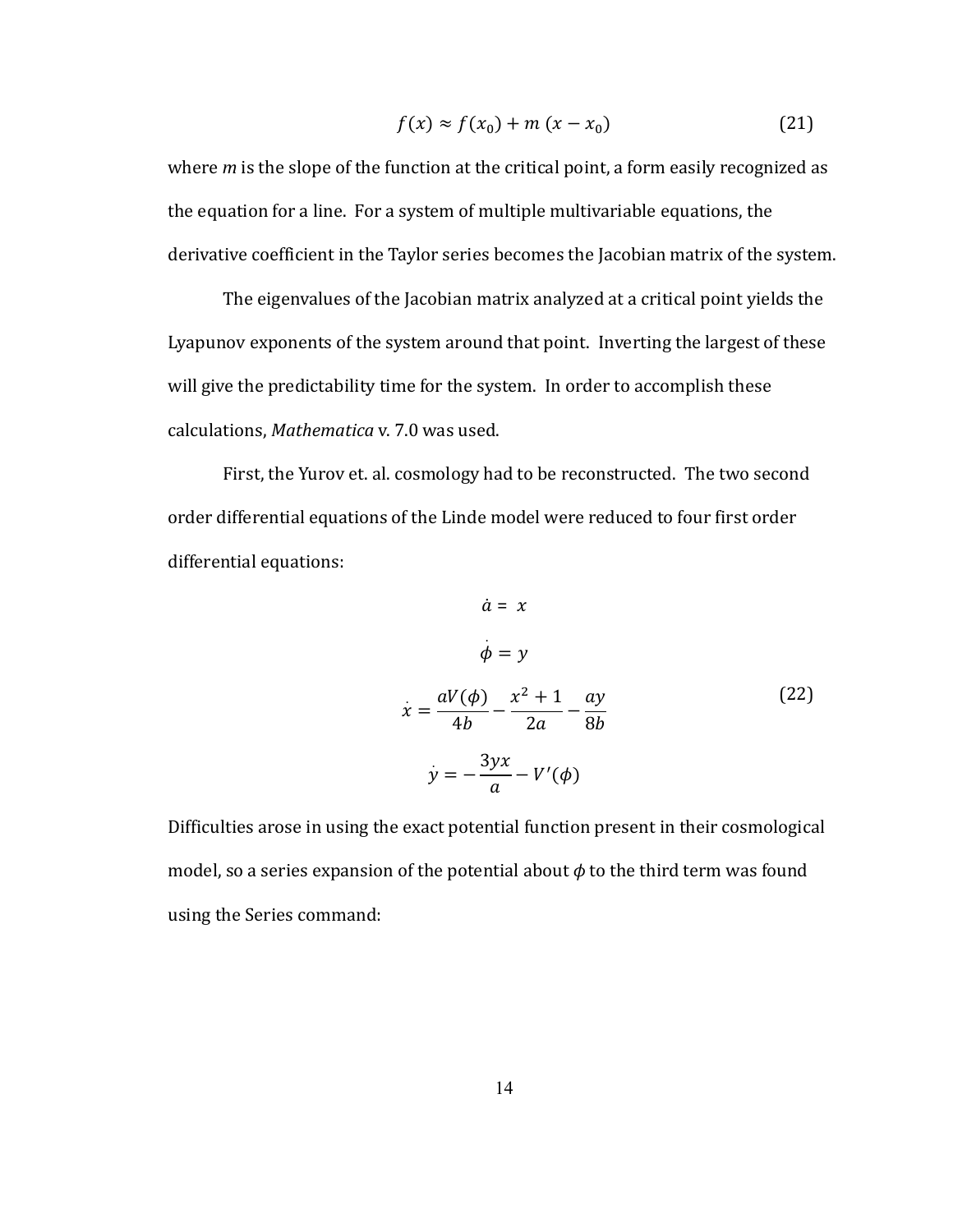$$
f(x) \approx f(x_0) + m(x - x_0) \tag{21}
$$

where  $m$  is the slope of the function at the critical point, a form easily recognized as the equation for a line. For a system of multiple multivariable equations, the derivative coefficient in the Taylor series becomes the Jacobian matrix of the system.

The eigenvalues of the Jacobian matrix analyzed at a critical point yields the Lyapunov exponents of the system around that point. Inverting the largest of these will give the predictability time for the system. In order to accomplish these calculations, Mathematica v. 7.0 was used.

First, the Yurov et. al. cosmology had to be reconstructed. The two second order differential equations of the Linde model were reduced to four first order differential equations:

$$
\dot{a} = x
$$
\n
$$
\dot{\phi} = y
$$
\n
$$
\dot{x} = \frac{aV(\phi)}{4b} - \frac{x^2 + 1}{2a} - \frac{ay}{8b}
$$
\n
$$
\dot{y} = -\frac{3yx}{a} - V'(\phi)
$$
\n(22)

Difficulties arose in using the exact potential function present in their cosmological model, so a series expansion of the potential about  $\phi$  to the third term was found using the Series command: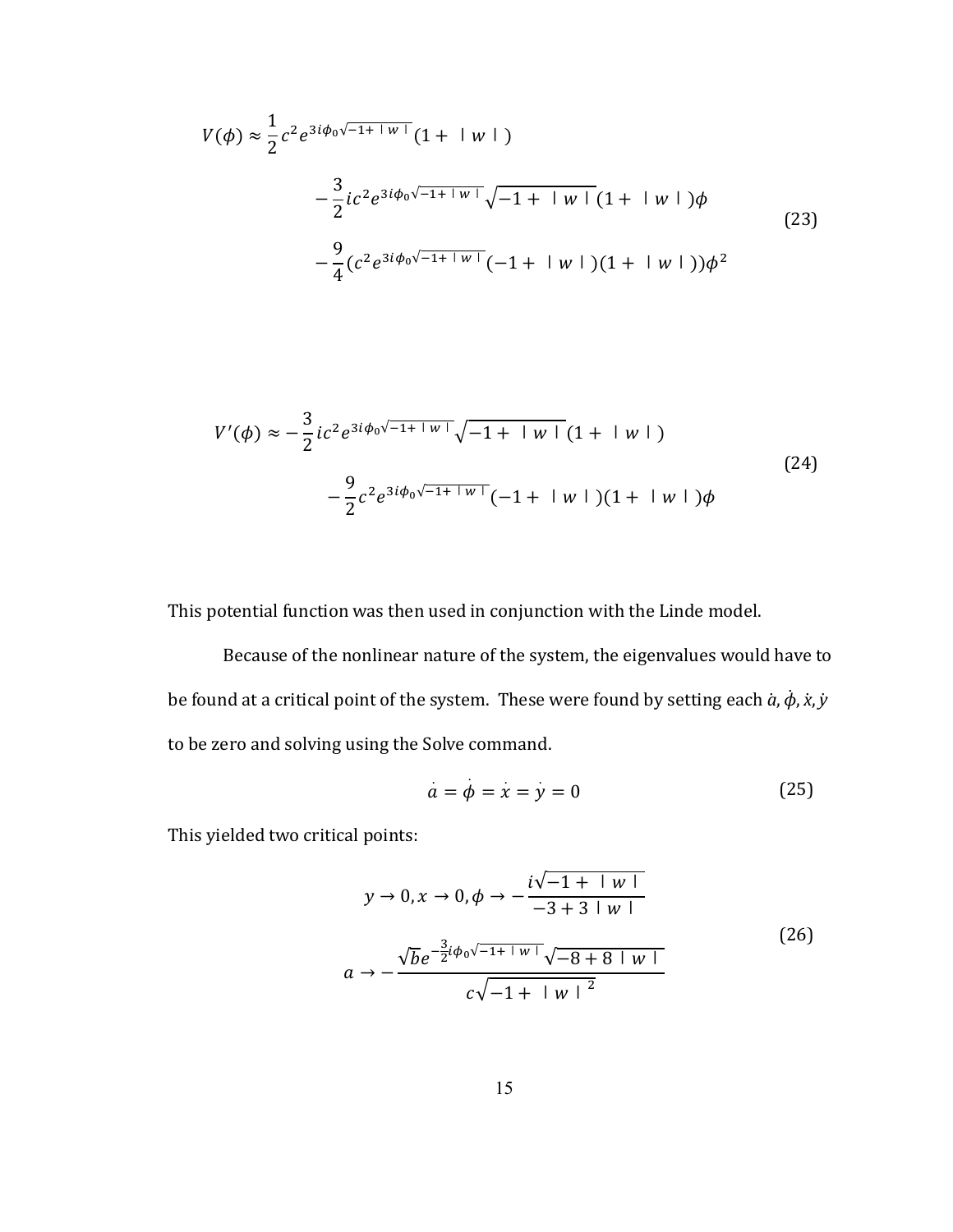$$
V(\phi) \approx \frac{1}{2} c^2 e^{3i\phi_0 \sqrt{-1+|w|}} (1 + |w|)
$$
  
 
$$
- \frac{3}{2} i c^2 e^{3i\phi_0 \sqrt{-1+|w|}} \sqrt{-1+|w|} (1 + |w|) \phi
$$
  
 
$$
- \frac{9}{4} (c^2 e^{3i\phi_0 \sqrt{-1+|w|}} (-1 + |w|) (1 + |w|)) \phi^2
$$
 (23)

$$
V'(\phi) \approx -\frac{3}{2} i c^2 e^{3i\phi_0 \sqrt{-1+|w|}} \sqrt{-1+|w|} (1+|w|)
$$
  

$$
-\frac{9}{2} c^2 e^{3i\phi_0 \sqrt{-1+|w|}} (-1+|w|) (1+|w|) \phi
$$
 (24)

This potential function was then used in conjunction with the Linde model.

Because of the nonlinear nature of the system, the eigenvalues would have to be found at a critical point of the system. These were found by setting each  $\dot{a}$ ,  $\dot{\phi}$ ,  $\dot{x}$ ,  $\dot{y}$ to be zero and solving using the Solve command.

$$
\dot{a} = \dot{\phi} = \dot{x} = \dot{y} = 0 \tag{25}
$$

This yielded two critical points:

$$
y \to 0, x \to 0, \phi \to -\frac{i\sqrt{-1 + |w|}}{-3 + 3 + |w|}
$$
  
\n
$$
a \to -\frac{\sqrt{b}e^{-\frac{3}{2}i\phi_0\sqrt{-1 + |w|}}\sqrt{-8 + 8 + |w|}}{c\sqrt{-1 + |w|^{2}}}
$$
\n(26)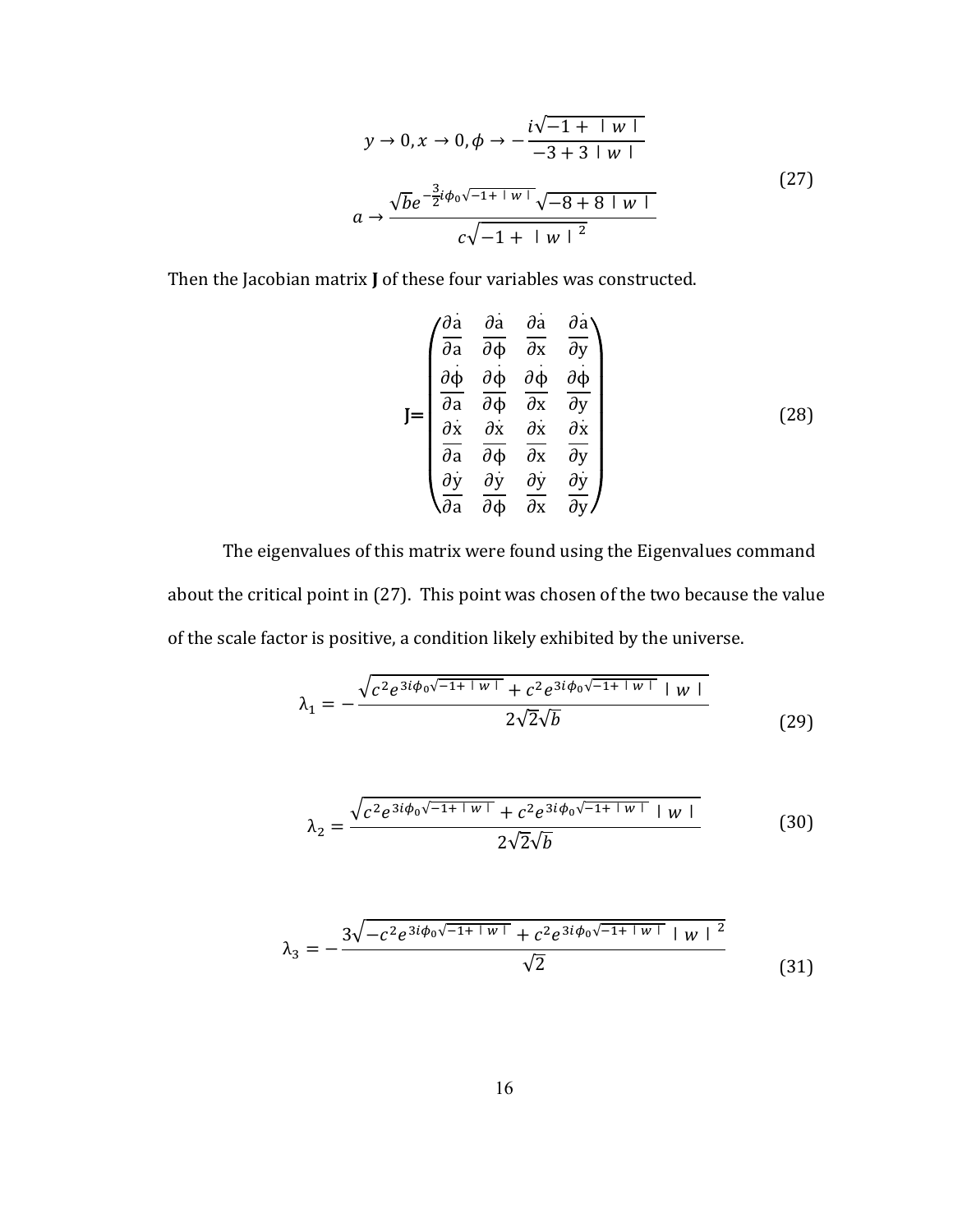$$
y \to 0, x \to 0, \phi \to -\frac{i\sqrt{-1 + |w|}}{-3 + 3 + |w|}
$$
  

$$
a \to \frac{\sqrt{b}e^{-\frac{3}{2}i\phi_0\sqrt{-1 + |w|}}\sqrt{-8 + 8 + |w|}}{c\sqrt{-1 + |w|^{2}}}
$$
 (27)

Then the Jacobian matrix **J** of these four variables was constructed.

$$
J = \begin{pmatrix} \frac{\partial \dot{a}}{\partial a} & \frac{\partial \dot{a}}{\partial \phi} & \frac{\partial \dot{a}}{\partial x} & \frac{\partial \dot{a}}{\partial y} \\ \frac{\partial \dot{\phi}}{\partial a} & \frac{\partial \dot{\phi}}{\partial \phi} & \frac{\partial \dot{\phi}}{\partial x} & \frac{\partial \dot{\phi}}{\partial y} \\ \frac{\partial \dot{x}}{\partial a} & \frac{\partial \dot{x}}{\partial \phi} & \frac{\partial \dot{x}}{\partial x} & \frac{\partial \dot{x}}{\partial y} \\ \frac{\partial \dot{y}}{\partial a} & \frac{\partial \dot{y}}{\partial \phi} & \frac{\partial \dot{y}}{\partial x} & \frac{\partial \dot{y}}{\partial y} \end{pmatrix} \tag{28}
$$

The eigenvalues of this matrix were found using the Eigenvalues command about the critical point in (27). This point was chosen of the two because the value of the scale factor is positive, a condition likely exhibited by the universe.

$$
\lambda_1 = -\frac{\sqrt{c^2 e^{3i\phi_0 \sqrt{-1+|w|}} + c^2 e^{3i\phi_0 \sqrt{-1+|w|}} + w|}}{2\sqrt{2}\sqrt{b}}
$$
(29)

$$
\lambda_2 = \frac{\sqrt{c^2 e^{3i\phi_0 \sqrt{-1+|w|}} + c^2 e^{3i\phi_0 \sqrt{-1+|w|}} + |w|}}{2\sqrt{2}\sqrt{b}}
$$
(30)

$$
\lambda_3 = -\frac{3\sqrt{-c^2 e^{3i\phi_0 \sqrt{-1+1w+1}} + c^2 e^{3i\phi_0 \sqrt{-1+1w+1} + w+2}}}{\sqrt{2}}
$$
(31)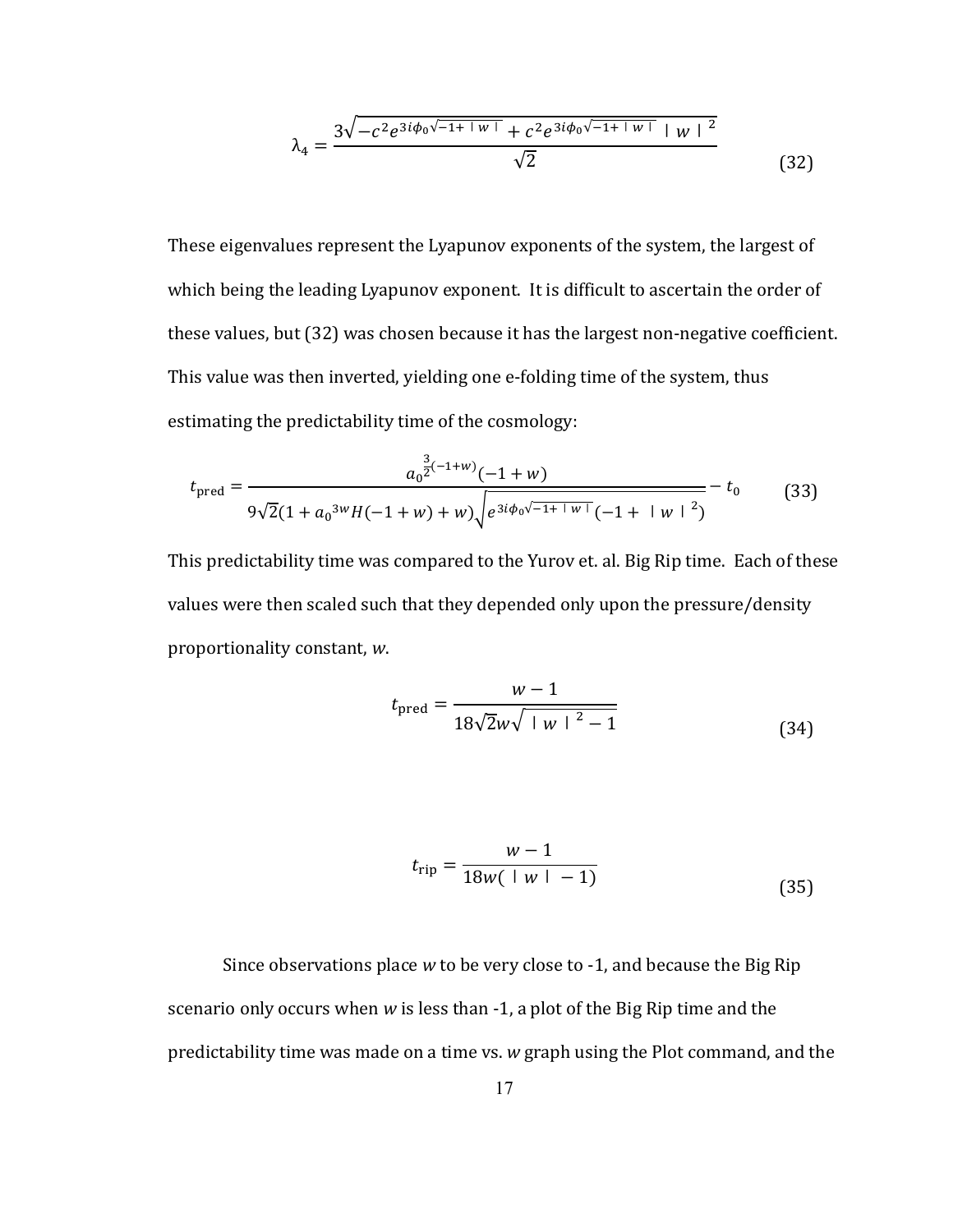$$
\lambda_4 = \frac{3\sqrt{-c^2 e^{3i\phi_0 \sqrt{-1+|w|}} + c^2 e^{3i\phi_0 \sqrt{-1+|w|}} |w|^2}}{\sqrt{2}}
$$
(32)

These eigenvalues represent the Lyapunov exponents of the system, the largest of which being the leading Lyapunov exponent. It is difficult to ascertain the order of these values, but (32) was chosen because it has the largest non-negative coefficient. This value was then inverted, yielding one e-folding time of the system, thus estimating the predictability time of the cosmology:

$$
t_{\text{pred}} = \frac{a_0^{\frac{3}{2}(-1+w)}(-1+w)}{9\sqrt{2}(1+a_0^{3w}H(-1+w)+w)\sqrt{e^{3i\phi_0\sqrt{-1+|w|}}(-1+|w|^2)}} - t_0
$$
(33)

This predictability time was compared to the Yurov et. al. Big Rip time. Each of these values were then scaled such that they depended only upon the pressure/density proportionality constant, w.

$$
t_{\text{pred}} = \frac{w - 1}{18\sqrt{2}w\sqrt{1|w|^2 - 1}}
$$
(34)

$$
t_{\rm rip} = \frac{w - 1}{18w(1w - 1)}\tag{35}
$$

Since observations place w to be very close to -1, and because the Big Rip scenario only occurs when w is less than -1, a plot of the Big Rip time and the predictability time was made on a time vs. w graph using the Plot command, and the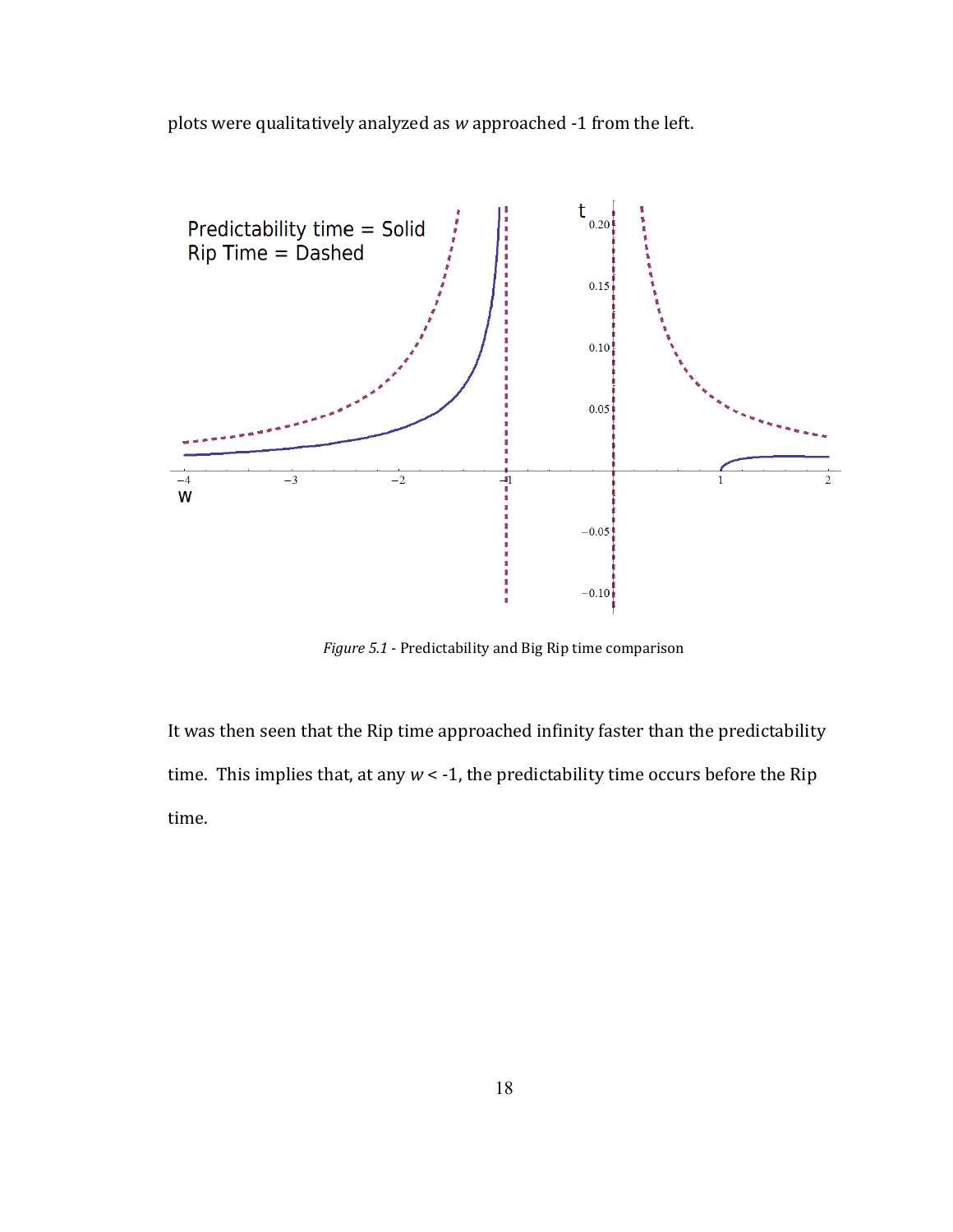plots were qualitatively analyzed as *w* approached -1 from the left.



*Figure 5.1* - Predictability and Big Rip time comparison

It was then seen that the Rip time approached infinity faster than the predictability time. This implies that, at any  $w < -1$ , the predictability time occurs before the Rip time.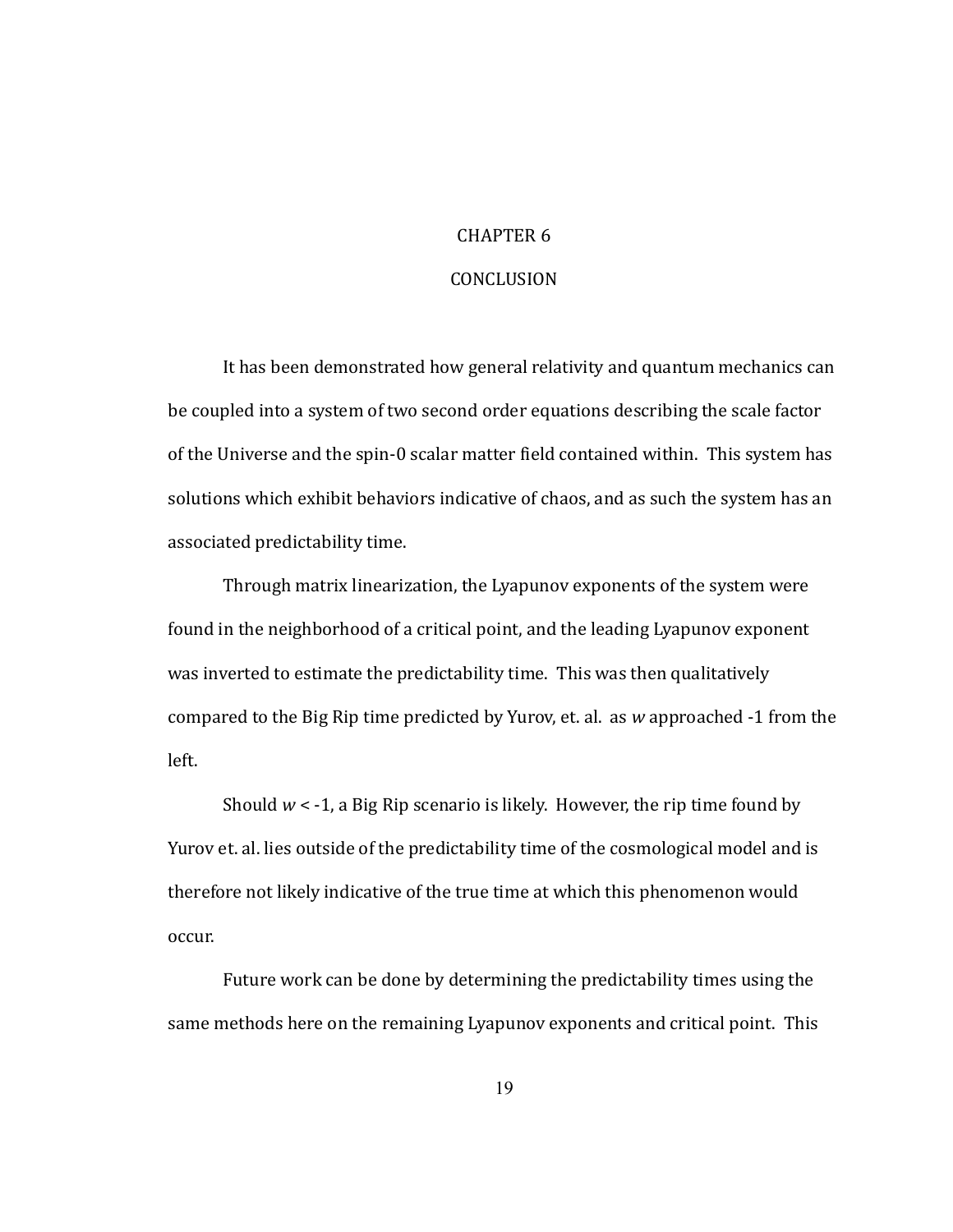#### CHAPTER<sub>6</sub>

#### CONCLUSION

It has been demonstrated how general relativity and quantum mechanics can be coupled into a system of two second order equations describing the scale factor of the Universe and the spin-0 scalar matter field contained within. This system has solutions which exhibit behaviors indicative of chaos, and as such the system has an associated predictability time.

Through matrix linearization, the Lyapunov exponents of the system were found in the neighborhood of a critical point, and the leading Lyapunov exponent was inverted to estimate the predictability time. This was then qualitatively compared to the Big Rip time predicted by Yurov, et. al. as w approached -1 from the left.

Should  $w < -1$ , a Big Rip scenario is likely. However, the rip time found by Yurov et. al. lies outside of the predictability time of the cosmological model and is therefore not likely indicative of the true time at which this phenomenon would occur.

Future work can be done by determining the predictability times using the same methods here on the remaining Lyapunov exponents and critical point. This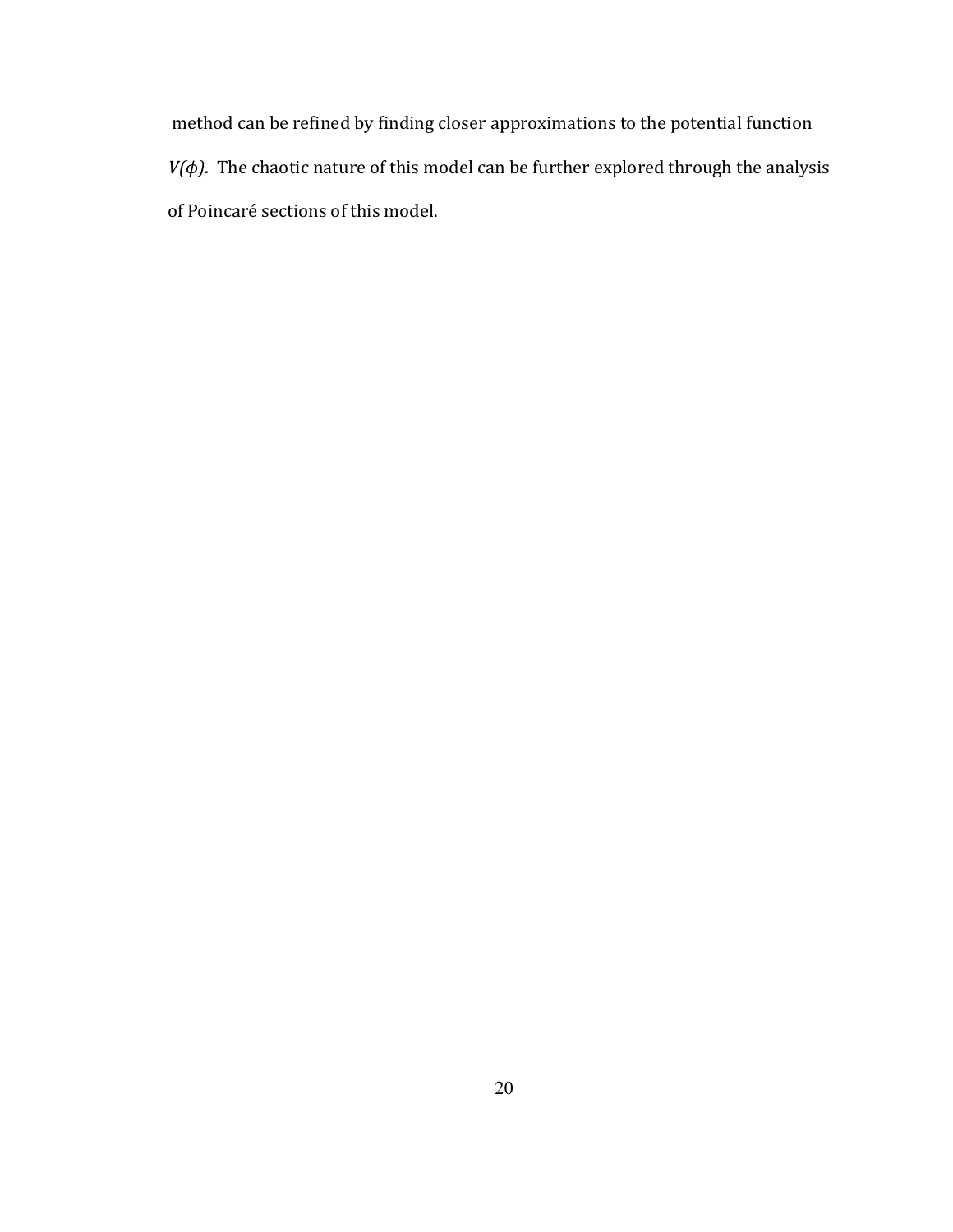method, can, be, refined, by, finding, closer, approximations, to, the, potential, function,  $V(\phi)$ . The chaotic nature of this model can be further explored through the analysis of Poincaré sections of this model.